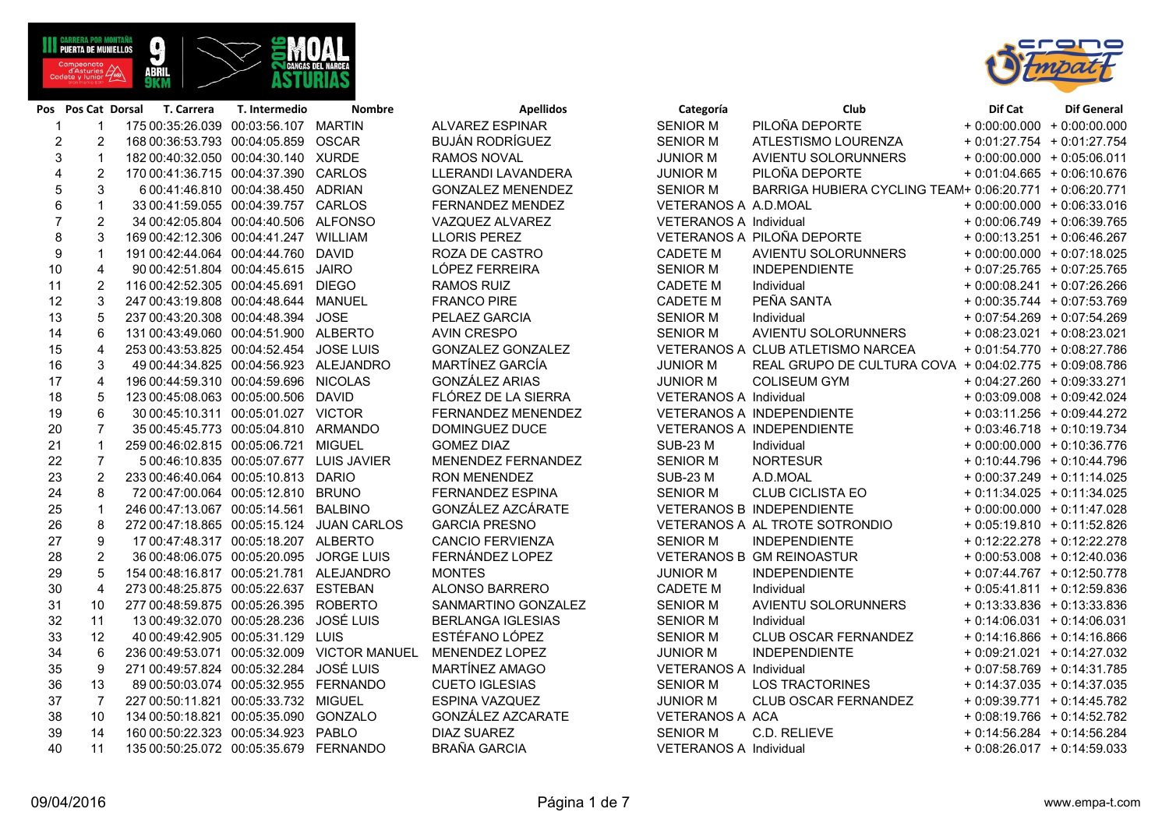**ABRI** 

| 5              | 3              | 6 00:41:46.810 00:04:38.450 |              | ADRIAN               | <b>GONZALEZ MENENDEZ</b> |
|----------------|----------------|-----------------------------|--------------|----------------------|--------------------------|
| 6              | 1              | 33 00:41:59.055             | 00:04:39.757 | <b>CARLOS</b>        | FERNANDEZ MENDEZ         |
| $\overline{7}$ | $\overline{c}$ | 34 00:42:05.804             | 00:04:40.506 | <b>ALFONSO</b>       | VAZQUEZ ALVAREZ          |
| 8              | 3              | 169 00:42:12.306            | 00:04:41.247 | WILLIAM              | <b>LLORIS PEREZ</b>      |
| 9              | 1              | 191 00:42:44.064            | 00:04:44.760 | <b>DAVID</b>         | ROZA DE CASTRO           |
| 10             | 4              | 90 00:42:51.804             | 00:04:45.615 | <b>JAIRO</b>         | LÓPEZ FERREIRA           |
| 11             | $\overline{c}$ | 116 00:42:52.305            | 00:04:45.691 | <b>DIEGO</b>         | <b>RAMOS RUIZ</b>        |
| 12             | 3              | 247 00:43:19.808            | 00:04:48.644 | <b>MANUEL</b>        | <b>FRANCO PIRE</b>       |
| 13             | 5              | 237 00:43:20.308            | 00:04:48.394 | <b>JOSE</b>          | PELAEZ GARCIA            |
| 14             | 6              | 131 00:43:49.060            | 00:04:51.900 | <b>ALBERTO</b>       | <b>AVIN CRESPO</b>       |
| 15             | 4              | 253 00:43:53.825            | 00:04:52.454 | <b>JOSE LUIS</b>     | <b>GONZALEZ GONZALEZ</b> |
| 16             | 3              | 49 00:44:34.825             | 00:04:56.923 | <b>ALEJANDRO</b>     | MARTÍNEZ GARCÍA          |
| 17             | 4              | 196 00:44:59.310            | 00:04:59.696 | <b>NICOLAS</b>       | <b>GONZÁLEZ ARIAS</b>    |
| 18             | 5              | 123 00:45:08.063            | 00:05:00.506 | <b>DAVID</b>         | FLÓREZ DE LA SIERRA      |
| 19             | 6              | 30 00:45:10.311             | 00:05:01.027 | <b>VICTOR</b>        | FERNANDEZ MENENDEZ       |
| 20             | $\overline{7}$ | 35 00:45:45.773             | 00:05:04.810 | <b>ARMANDO</b>       | DOMINGUEZ DUCE           |
| 21             | $\mathbf{1}$   | 259 00:46:02.815            | 00:05:06.721 | <b>MIGUEL</b>        | <b>GOMEZ DIAZ</b>        |
| 22             | 7              | 5 00:46:10.835              | 00:05:07.677 | <b>LUIS JAVIER</b>   | MENENDEZ FERNANDEZ       |
| 23             | $\overline{c}$ | 233 00:46:40.064            | 00:05:10.813 | <b>DARIO</b>         | <b>RON MENENDEZ</b>      |
| 24             | 8              | 72 00:47:00.064             | 00:05:12.810 | <b>BRUNO</b>         | <b>FERNANDEZ ESPINA</b>  |
| 25             | $\mathbf{1}$   | 246 00:47:13.067            | 00:05:14.561 | <b>BALBINO</b>       | GONZÁLEZ AZCÁRATE        |
| 26             | 8              | 272 00:47:18.865            | 00:05:15.124 | <b>JUAN CARLOS</b>   | <b>GARCIA PRESNO</b>     |
| 27             | 9              | 17 00:47:48.317             | 00:05:18.207 | <b>ALBERTO</b>       | <b>CANCIO FERVIENZA</b>  |
| 28             | $\overline{c}$ | 36 00:48:06.075             | 00:05:20.095 | <b>JORGE LUIS</b>    | FERNÁNDEZ LOPEZ          |
| 29             | 5              | 154 00:48:16.817            | 00:05:21.781 | <b>ALEJANDRO</b>     | <b>MONTES</b>            |
| 30             | $\overline{4}$ | 273 00:48:25.875            | 00:05:22.637 | <b>ESTEBAN</b>       | <b>ALONSO BARRERO</b>    |
| 31             | 10             | 277 00:48:59.875            | 00:05:26.395 | <b>ROBERTO</b>       | SANMARTINO GONZALEZ      |
| 32             | 11             | 13 00:49:32.070             | 00:05:28.236 | <b>JOSÉ LUIS</b>     | <b>BERLANGA IGLESIAS</b> |
| 33             | 12             | 40 00:49:42.905             | 00:05:31.129 | LUIS                 | ESTÉFANO LÓPEZ           |
| 34             | 6              | 236 00:49:53.071            | 00:05:32.009 | <b>VICTOR MANUEL</b> | MENENDEZ LOPEZ           |
| 35             | 9              | 271 00:49:57.824            | 00:05:32.284 | <b>JOSÉ LUIS</b>     | MARTÍNEZ AMAGO           |
| 36             | 13             | 89 00:50:03.074             | 00:05:32.955 | <b>FERNANDO</b>      | <b>CUETO IGLESIAS</b>    |
| 37             | $\overline{7}$ | 227 00:50:11.821            | 00:05:33.732 | <b>MIGUEL</b>        | ESPINA VAZQUEZ           |
| 38             | 10             | 134 00:50:18.821            | 00:05:35.090 | <b>GONZALO</b>       | GONZÁLEZ AZCARATE        |
| 39             | 14             | 160 00:50:22.323            | 00:05:34.923 | PABLO                | <b>DIAZ SUAREZ</b>       |
| 40             | 11             | 135 00:50:25.072            | 00:05:35.679 | <b>FERNANDO</b>      | <b>BRAÑA GARCIA</b>      |

|                |                | s Pos Cat Dorsal T. Carrera | T. Intermedio                           | <b>Nombre</b>                               | <b>Apellidos</b>         | Categoría                     | <b>Club</b>                                             | Dif Cat                      | <b>Dif General</b> |
|----------------|----------------|-----------------------------|-----------------------------------------|---------------------------------------------|--------------------------|-------------------------------|---------------------------------------------------------|------------------------------|--------------------|
| $\overline{1}$ | $\mathbf 1$    |                             | 175 00:35:26.039 00:03:56.107 MARTIN    |                                             | <b>ALVAREZ ESPINAR</b>   | <b>SENIOR M</b>               | PILOÑA DEPORTE                                          | $+0.00.00000 + 0.0000000$    |                    |
| $\overline{c}$ | $\overline{2}$ |                             | 168 00:36:53.793 00:04:05.859 OSCAR     |                                             | <b>BUJÁN RODRÍGUEZ</b>   | <b>SENIOR M</b>               | ATLESTISMO LOURENZA                                     | $+0.01:27.754 + 0.01:27.754$ |                    |
| 3              | $\mathbf{1}$   |                             | 182 00:40:32.050 00:04:30.140 XURDE     |                                             | <b>RAMOS NOVAL</b>       | <b>JUNIOR M</b>               | AVIENTU SOLORUNNERS                                     | $+0.00.00.000 + 0.05.06.011$ |                    |
| 4              | 2              |                             | 170 00:41:36.715 00:04:37.390 CARLOS    |                                             | LLERANDI LAVANDERA       | <b>JUNIOR M</b>               | PILOÑA DEPORTE                                          | $+0.01:04.665 + 0:06:10.676$ |                    |
| 5              | 3              |                             | 6 00:41:46.810 00:04:38.450 ADRIAN      |                                             | <b>GONZALEZ MENENDEZ</b> | <b>SENIOR M</b>               | BARRIGA HUBIERA CYCLING TEAM+ 0:06:20.771 + 0:06:20.771 |                              |                    |
| $\,6\,$        | $\mathbf{1}$   |                             | 33 00:41:59.055 00:04:39.757 CARLOS     |                                             | FERNANDEZ MENDEZ         | VETERANOS A A.D.MOAL          |                                                         | $+0.00.00000 + 0.06.33.016$  |                    |
| $\overline{7}$ | $\overline{2}$ |                             | 34 00:42:05.804 00:04:40.506 ALFONSO    |                                             | VAZQUEZ ALVAREZ          | VETERANOS A Individual        |                                                         | $+0.00:06.749 + 0.06:39.765$ |                    |
| 8              | 3              |                             | 169 00:42:12.306 00:04:41.247 WILLIAM   |                                             | <b>LLORIS PEREZ</b>      |                               | VETERANOS A PILOÑA DEPORTE                              | $+0.00:13.251 + 0.06:46.267$ |                    |
| 9              | $\mathbf 1$    |                             | 191 00:42:44.064 00:04:44.760 DAVID     |                                             | ROZA DE CASTRO           | <b>CADETE M</b>               | AVIENTU SOLORUNNERS                                     | $+0.00.00000 + 0.07:18.025$  |                    |
| 10             | 4              |                             | 90 00:42:51.804 00:04:45.615 JAIRO      |                                             | LÓPEZ FERREIRA           | <b>SENIOR M</b>               | <b>INDEPENDIENTE</b>                                    | $+0.07:25.765 + 0.07:25.765$ |                    |
| 11             | $\overline{c}$ |                             | 116 00:42:52.305 00:04:45.691 DIEGO     |                                             | <b>RAMOS RUIZ</b>        | <b>CADETE M</b>               | Individual                                              | $+0.00.08.241 + 0.07.26.266$ |                    |
| 12             | $\mathsf 3$    |                             | 247 00:43:19.808 00:04:48.644 MANUEL    |                                             | <b>FRANCO PIRE</b>       | <b>CADETE M</b>               | PEÑA SANTA                                              | $+0.00:35.744 + 0.07:53.769$ |                    |
| 13             | 5              |                             | 237 00:43:20.308 00:04:48.394           | <b>JOSE</b>                                 | PELAEZ GARCIA            | <b>SENIOR M</b>               | Individual                                              | $+0.07:54.269 + 0.07:54.269$ |                    |
| 14             | 6              |                             | 131 00:43:49.060 00:04:51.900 ALBERTO   |                                             | <b>AVIN CRESPO</b>       | <b>SENIOR M</b>               | AVIENTU SOLORUNNERS                                     | $+0.08:23.021 + 0.08:23.021$ |                    |
| 15             | $\overline{4}$ |                             | 253 00:43:53.825 00:04:52.454 JOSE LUIS |                                             | <b>GONZALEZ GONZALEZ</b> |                               | VETERANOS A CLUB ATLETISMO NARCEA                       | $+0.01:54.770 + 0.08:27.786$ |                    |
| 16             | 3              |                             | 49 00:44:34.825 00:04:56.923 ALEJANDRO  |                                             | <b>MARTÍNEZ GARCÍA</b>   | <b>JUNIOR M</b>               | REAL GRUPO DE CULTURA COVA + 0:04:02.775 + 0:09:08.786  |                              |                    |
| 17             | $\overline{4}$ |                             | 196 00:44:59.310 00:04:59.696 NICOLAS   |                                             | <b>GONZÁLEZ ARIAS</b>    | <b>JUNIOR M</b>               | <b>COLISEUM GYM</b>                                     | $+0.04:27.260 + 0.09:33.271$ |                    |
| 18             | 5              |                             | 123 00:45:08.063 00:05:00.506 DAVID     |                                             | FLÓREZ DE LA SIERRA      | <b>VETERANOS A Individual</b> |                                                         | $+0.03.09.008 + 0.09.42.024$ |                    |
| 19             | 6              |                             | 30 00:45:10.311 00:05:01.027 VICTOR     |                                             | FERNANDEZ MENENDEZ       |                               | VETERANOS A INDEPENDIENTE                               | $+0.03:11.256 + 0.09:44.272$ |                    |
| 20             | $\overline{7}$ |                             | 35 00:45:45.773 00:05:04.810 ARMANDO    |                                             | DOMINGUEZ DUCE           |                               | VETERANOS A INDEPENDIENTE                               | $+0.03:46.718 + 0.10:19.734$ |                    |
| 21             | $\mathbf{1}$   |                             | 259 00:46:02.815 00:05:06.721 MIGUEL    |                                             | <b>GOMEZ DIAZ</b>        | <b>SUB-23 M</b>               | Individual                                              | $+0.00.00000 + 0.10.36.776$  |                    |
| 22             | $\overline{7}$ |                             | 5 00:46:10.835 00:05:07.677 LUIS JAVIER |                                             | MENENDEZ FERNANDEZ       | <b>SENIOR M</b>               | <b>NORTESUR</b>                                         | $+0.10:44.796 + 0.10:44.796$ |                    |
| 23             | $\overline{2}$ |                             | 233 00:46:40.064 00:05:10.813 DARIO     |                                             | RON MENENDEZ             | <b>SUB-23 M</b>               | A.D.MOAL                                                | $+0.00:37.249 + 0:11:14.025$ |                    |
| 24             | 8              |                             | 72 00:47:00.064 00:05:12.810 BRUNO      |                                             | <b>FERNANDEZ ESPINA</b>  | <b>SENIOR M</b>               | <b>CLUB CICLISTA EO</b>                                 | $+0:11:34.025 + 0:11:34.025$ |                    |
| 25             | $\mathbf 1$    |                             | 246 00:47:13.067 00:05:14.561 BALBINO   |                                             | GONZÁLEZ AZCÁRATE        |                               | <b>VETERANOS B INDEPENDIENTE</b>                        | $+0.00.00000 + 0.11.47.028$  |                    |
| 26             | 8              |                             |                                         | 272 00:47:18.865 00:05:15.124 JUAN CARLOS   | <b>GARCIA PRESNO</b>     |                               | VETERANOS A AL TROTE SOTRONDIO                          | $+0.05:19.810 + 0.11:52.826$ |                    |
| 27             | 9              |                             | 17 00:47:48.317 00:05:18.207 ALBERTO    |                                             | <b>CANCIO FERVIENZA</b>  | <b>SENIOR M</b>               | <b>INDEPENDIENTE</b>                                    | $+0.12.22.278 + 0.12.22.278$ |                    |
| 28             | $\overline{2}$ |                             | 36 00:48:06.075 00:05:20.095 JORGE LUIS |                                             | FERNÁNDEZ LOPEZ          |                               | VETERANOS B GM REINOASTUR                               | $+0.00:53.008 + 0:12:40.036$ |                    |
| 29             | 5              |                             | 154 00:48:16.817 00:05:21.781 ALEJANDRO |                                             | <b>MONTES</b>            | <b>JUNIOR M</b>               | <b>INDEPENDIENTE</b>                                    | $+0.07:44.767 + 0.12:50.778$ |                    |
| 30             | $\overline{4}$ |                             | 273 00:48:25.875 00:05:22.637 ESTEBAN   |                                             | ALONSO BARRERO           | <b>CADETE M</b>               | Individual                                              | $+0.05:41.811 + 0.12:59.836$ |                    |
| 31             | 10             |                             | 277 00:48:59.875 00:05:26.395 ROBERTO   |                                             | SANMARTINO GONZALEZ      | <b>SENIOR M</b>               | <b>AVIENTU SOLORUNNERS</b>                              | $+0.13.33.836 + 0.13.33.836$ |                    |
| 32             | 11             |                             | 13 00:49:32.070 00:05:28.236 JOSÉ LUIS  |                                             | <b>BERLANGA IGLESIAS</b> | <b>SENIOR M</b>               | Individual                                              | $+0.14.06.031 + 0.14.06.031$ |                    |
| 33             | 12             |                             | 40 00:49:42.905 00:05:31.129 LUIS       |                                             | ESTÉFANO LÓPEZ           | <b>SENIOR M</b>               | <b>CLUB OSCAR FERNANDEZ</b>                             | $+0.14:16.866 + 0.14:16.866$ |                    |
| 34             | 6              |                             |                                         | 236 00:49:53.071 00:05:32.009 VICTOR MANUEL | MENENDEZ LOPEZ           | <b>JUNIOR M</b>               | <b>INDEPENDIENTE</b>                                    | $+0.09:21.021 + 0.14:27.032$ |                    |
| 35             | 9              |                             | 271 00:49:57.824 00:05:32.284 JOSÉ LUIS |                                             | MARTÍNEZ AMAGO           | VETERANOS A Individual        |                                                         | $+0.07:58.769 + 0.14:31.785$ |                    |
| 36             | 13             |                             | 89 00:50:03.074 00:05:32.955 FERNANDO   |                                             | <b>CUETO IGLESIAS</b>    | <b>SENIOR M</b>               | <b>LOS TRACTORINES</b>                                  | $+0.14.37.035 + 0.14.37.035$ |                    |
| 37             | $\overline{7}$ |                             | 227 00:50:11.821 00:05:33.732 MIGUEL    |                                             | <b>ESPINA VAZQUEZ</b>    | <b>JUNIOR M</b>               | CLUB OSCAR FERNANDEZ                                    | $+0.09:39.771 + 0.14:45.782$ |                    |
| 38             | 10             |                             | 134 00:50:18.821 00:05:35.090 GONZALO   |                                             | GONZÁLEZ AZCARATE        | VETERANOS A ACA               |                                                         | $+0.08:19.766 + 0.14:52.782$ |                    |
| 39             | 14             |                             | 160 00:50:22.323 00:05:34.923 PABLO     |                                             | <b>DIAZ SUAREZ</b>       | <b>SENIOR M</b>               | C.D. RELIEVE                                            | $+0.14.56.284 + 0.14.56.284$ |                    |
| 40             | 11             |                             | 135 00:50:25.072 00:05:35.679 FERNANDO  |                                             | <b>BRAÑA GARCIA</b>      | VETERANOS A Individual        |                                                         | $+0.08:26.017 + 0.14:59.033$ |                    |



09/04/2016 Página 1 de 7 www.empa-t.com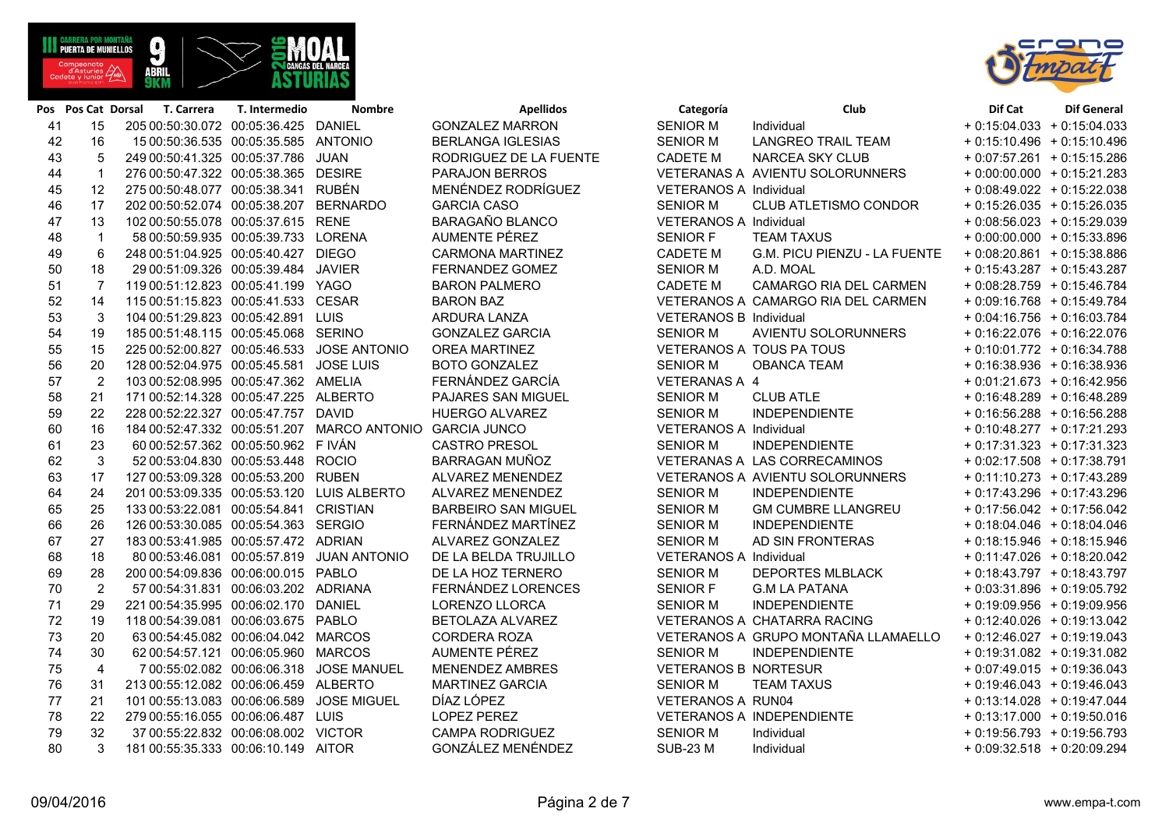**ABRI** 

|     |                |                                            |                                                          |                            | .                           |                                     |                              |  |
|-----|----------------|--------------------------------------------|----------------------------------------------------------|----------------------------|-----------------------------|-------------------------------------|------------------------------|--|
| 42  | 16             | 15 00:50:36.535 00:05:35.585 ANTONIO       |                                                          | <b>BERLANGA IGLESIAS</b>   | <b>SENIOR M</b>             | LANGREO TRAIL TEAM                  | $+0.15:10.496 + 0.15:10.496$ |  |
| 43  | 5              | 249 00:50:41.325 00:05:37.786 JUAN         |                                                          | RODRIGUEZ DE LA FUENTE     | <b>CADETE M</b>             | NARCEA SKY CLUB                     | $+0.07:57.261 + 0.15:15.286$ |  |
| 44  | $\overline{1}$ | 276 00:50:47.322 00:05:38.365 DESIRE       |                                                          | <b>PARAJON BERROS</b>      |                             | VETERANAS A AVIENTU SOLORUNNERS     | $+0.00.00.000 + 0.15.21.283$ |  |
| 45  | 12             | 275 00:50:48.077 00:05:38.341 RUBÉN        |                                                          | MENÉNDEZ RODRÍGUEZ         | VETERANOS A Individual      |                                     | $+0.08:49.022 + 0.15:22.038$ |  |
| 46  | 17             | 202 00:50:52.074 00:05:38.207 BERNARDO     |                                                          | <b>GARCIA CASO</b>         | <b>SENIOR M</b>             | CLUB ATLETISMO CONDOR               | $+0.15.26.035 + 0.15.26.035$ |  |
| 47  | 13             | 102 00:50:55.078 00:05:37.615 RENE         |                                                          | BARAGAÑO BLANCO            | VETERANOS A Individual      |                                     | $+0.08:56.023 + 0.15:29.039$ |  |
| 48  | $\mathbf{1}$   | 58 00:50:59.935 00:05:39.733 LORENA        |                                                          | <b>AUMENTE PÉREZ</b>       | <b>SENIOR F</b>             | <b>TEAM TAXUS</b>                   | $+0.00.00000 + 0.15.33.896$  |  |
| 49  | 6              | 248 00:51:04.925 00:05:40.427 DIEGO        |                                                          | <b>CARMONA MARTINEZ</b>    | <b>CADETE M</b>             | G.M. PICU PIENZU - LA FUENTE        | $+0.08:20.861 + 0.15:38.886$ |  |
| 50  | 18             | 29 00:51:09.326 00:05:39.484 JAVIER        |                                                          | FERNANDEZ GOMEZ            | <b>SENIOR M</b>             | A.D. MOAL                           | $+0.15:43.287 + 0.15:43.287$ |  |
| 51  | 7              | 119 00:51:12.823 00:05:41.199 YAGO         |                                                          | <b>BARON PALMERO</b>       | <b>CADETE M</b>             | CAMARGO RIA DEL CARMEN              | $+0.08:28.759 + 0.15:46.784$ |  |
| 52  | 14             | 115 00:51:15.823 00:05:41.533 CESAR        |                                                          | <b>BARON BAZ</b>           |                             | VETERANOS A CAMARGO RIA DEL CARMEN  | $+0.09:16.768 + 0.15:49.784$ |  |
| 53  | 3              | 104 00:51:29.823 00:05:42.891 LUIS         |                                                          | ARDURA LANZA               | VETERANOS B Individual      |                                     | $+0.04:16.756 + 0.16:03.784$ |  |
| 54  | 19             | 185 00:51:48.115 00:05:45.068 SERINO       |                                                          | <b>GONZALEZ GARCIA</b>     | <b>SENIOR M</b>             | AVIENTU SOLORUNNERS                 | $+0.16.22.076 + 0.16.22.076$ |  |
| 55  | 15             | 225 00:52:00.827 00:05:46.533 JOSE ANTONIO |                                                          | OREA MARTINEZ              |                             | VETERANOS A TOUS PA TOUS            | $+0:10:01.772 + 0:16:34.788$ |  |
| 56  | 20             | 128 00:52:04.975 00:05:45.581 JOSE LUIS    |                                                          | <b>BOTO GONZALEZ</b>       | <b>SENIOR M</b>             | <b>OBANCA TEAM</b>                  | $+0.16.38.936 + 0.16.38.936$ |  |
| 57  | $\overline{2}$ | 103 00:52:08.995 00:05:47.362 AMELIA       |                                                          | FERNÁNDEZ GARCÍA           | VETERANAS A 4               |                                     | $+0.01:21.673 + 0.16:42.956$ |  |
| 58  | 21             | 171 00:52:14.328 00:05:47.225 ALBERTO      |                                                          | PAJARES SAN MIGUEL         | <b>SENIOR M</b>             | <b>CLUB ATLE</b>                    | + 0:16:48.289 + 0:16:48.289  |  |
| 59  | 22             | 228 00:52:22.327 00:05:47.757 DAVID        |                                                          | HUERGO ALVAREZ             | <b>SENIOR M</b>             | <b>INDEPENDIENTE</b>                | $+0.16.56.288 + 0.16.56.288$ |  |
| 60  | 16             |                                            | 184 00:52:47.332 00:05:51.207 MARCO ANTONIO GARCIA JUNCO |                            | VETERANOS A Individual      |                                     | $+0.10.48.277 + 0.17.21.293$ |  |
| 61  | 23             | 60 00:52:57.362 00:05:50.962 FIVÁN         |                                                          | <b>CASTRO PRESOL</b>       | <b>SENIOR M</b>             | <b>INDEPENDIENTE</b>                | $+0:17:31.323 + 0:17:31.323$ |  |
| 62  | 3              | 52 00:53:04.830 00:05:53.448 ROCIO         |                                                          | BARRAGAN MUÑOZ             |                             | VETERANAS A LAS CORRECAMINOS        | $+0.02:17.508 + 0.17:38.791$ |  |
| 63  | 17             | 127 00:53:09.328 00:05:53.200 RUBEN        |                                                          | ALVAREZ MENENDEZ           |                             | VETERANOS A AVIENTU SOLORUNNERS     | $+0:11:10.273 + 0:17:43.289$ |  |
| 64  | 24             | 201 00:53:09.335 00:05:53.120 LUIS ALBERTO |                                                          | ALVAREZ MENENDEZ           | SENIOR M                    | INDEPENDIENTE                       | $+0.17:43.296 + 0.17:43.296$ |  |
| 65  | 25             | 133 00:53:22.081 00:05:54.841 CRISTIAN     |                                                          | <b>BARBEIRO SAN MIGUEL</b> | SENIOR M                    | <b>GM CUMBRE LLANGREU</b>           | $+0.17:56.042 + 0.17:56.042$ |  |
| 66  | 26             | 126 00:53:30.085 00:05:54.363 SERGIO       |                                                          | FERNÁNDEZ MARTÍNEZ         | <b>SENIOR M</b>             | <b>INDEPENDIENTE</b>                | $+0.18.04.046 + 0.18.04.046$ |  |
| 67  | 27             | 183 00:53:41.985 00:05:57.472 ADRIAN       |                                                          | ALVAREZ GONZALEZ           | <b>SENIOR M</b>             | AD SIN FRONTERAS                    | $+0.18:15.946 + 0.18:15.946$ |  |
| 68  | 18             |                                            | 80 00:53:46.081 00:05:57.819 JUAN ANTONIO                | DE LA BELDA TRUJILLO       | VETERANOS A Individual      |                                     | $+0.11:47.026 + 0.18:20.042$ |  |
| 69  | 28             | 200 00:54:09.836 00:06:00.015 PABLO        |                                                          | DE LA HOZ TERNERO          | <b>SENIOR M</b>             | <b>DEPORTES MLBLACK</b>             | $+0:18:43.797 + 0:18:43.797$ |  |
| 70  | $\overline{2}$ | 57 00:54:31.831 00:06:03.202 ADRIANA       |                                                          | FERNÁNDEZ LORENCES         | SENIOR F                    | <b>G.M LA PATANA</b>                | $+0.03:31.896 + 0.19:05.792$ |  |
| 71  | 29             | 221 00:54:35.995 00:06:02.170 DANIEL       |                                                          | LORENZO LLORCA             | <b>SENIOR M</b>             | INDEPENDIENTE                       | $+0.19.09.956 + 0.19.09.956$ |  |
| 72  | 19             | 118 00:54:39.081 00:06:03.675 PABLO        |                                                          | BETOLAZA ALVAREZ           |                             | VETERANOS A CHATARRA RACING         | $+0:12:40.026 + 0:19:13.042$ |  |
| 73  | 20             | 63 00:54:45.082 00:06:04.042 MARCOS        |                                                          | CORDERA ROZA               |                             | VETERANOS A GRUPO MONTAÑA LLAMAELLO | $+0.12:46.027 + 0.19:19.043$ |  |
| 74  | 30             | 62 00:54:57.121 00:06:05.960 MARCOS        |                                                          | AUMENTE PÉREZ              | <b>SENIOR M</b>             | <b>INDEPENDIENTE</b>                | $+0.19.31.082 + 0.19.31.082$ |  |
| 75  | $\overline{4}$ |                                            | 7 00:55:02.082 00:06:06.318 JOSE MANUEL                  | <b>MENENDEZ AMBRES</b>     | <b>VETERANOS B NORTESUR</b> |                                     | $+0.07:49.015 + 0.19:36.043$ |  |
| 76  | 31             | 213 00:55:12.082 00:06:06.459 ALBERTO      |                                                          | <b>MARTINEZ GARCIA</b>     | <b>SENIOR M</b>             | <b>TEAM TAXUS</b>                   | $+0.19:46.043 + 0.19:46.043$ |  |
| 77  | 21             | 101 00:55:13.083 00:06:06.589 JOSE MIGUEL  |                                                          | DÍAZ LÓPEZ                 | <b>VETERANOS A RUN04</b>    |                                     | $+0.13:14.028 + 0.19:47.044$ |  |
| 78  | 22             | 279 00:55:16.055 00:06:06.487 LUIS         |                                                          | LOPEZ PEREZ                |                             | VETERANOS A INDEPENDIENTE           | $+0.13:17.000 + 0.19:50.016$ |  |
| 79  | 32             | 37 00:55:22.832 00:06:08.002 VICTOR        |                                                          | <b>CAMPA RODRIGUEZ</b>     | <b>SENIOR M</b>             | Individual                          | $+0.19.56.793 + 0.19.56.793$ |  |
| 80. | $\mathbf{3}$   | 181 00:55:35 333 00:06:10 149 AITOR        |                                                          | GONZÁLEZ MENÉNDEZ          | SUB-23 M                    | Individual                          | $+0.09.32518 + 0.2009294$    |  |



|    |                | Pos Pos Cat Dorsal T. Carrera              | T. Intermedio | <b>Nombre</b>                                            | <b>Apellidos</b>           | Categoría                     | Club                                | Dif Cat                      | <b>Dif General</b> |
|----|----------------|--------------------------------------------|---------------|----------------------------------------------------------|----------------------------|-------------------------------|-------------------------------------|------------------------------|--------------------|
| 41 | 15             | 205 00:50:30.072 00:05:36.425 DANIEL       |               |                                                          | <b>GONZALEZ MARRON</b>     | <b>SENIOR M</b>               | Individual                          | $+0.15.04.033 + 0.15.04.033$ |                    |
| 42 | 16             | 15 00:50:36.535 00:05:35.585 ANTONIO       |               |                                                          | <b>BERLANGA IGLESIAS</b>   | <b>SENIOR M</b>               | <b>LANGREO TRAIL TEAM</b>           | $+0.15:10.496 + 0.15:10.496$ |                    |
| 43 | 5              | 249 00:50:41.325 00:05:37.786 JUAN         |               |                                                          | RODRIGUEZ DE LA FUENTE     | <b>CADETE M</b>               | NARCEA SKY CLUB                     | $+0.07:57.261 + 0.15:15.286$ |                    |
| 44 | $\mathbf{1}$   | 276 00:50:47.322 00:05:38.365 DESIRE       |               |                                                          | PARAJON BERROS             |                               | VETERANAS A AVIENTU SOLORUNNERS     | $+0.00.00000 + 0.15.21.283$  |                    |
| 45 | 12             | 275 00:50:48.077 00:05:38.341 RUBÉN        |               |                                                          | MENÉNDEZ RODRÍGUEZ         | VETERANOS A Individual        |                                     | + 0:08:49.022 + 0:15:22.038  |                    |
| 46 | 17             | 202 00:50:52.074 00:05:38.207 BERNARDO     |               |                                                          | <b>GARCIA CASO</b>         | <b>SENIOR M</b>               | CLUB ATLETISMO CONDOR               | $+0.15:26.035 + 0.15:26.035$ |                    |
| 47 | 13             | 102 00:50:55.078 00:05:37.615 RENE         |               |                                                          | BARAGAÑO BLANCO            | VETERANOS A Individual        |                                     | $+0.08:56.023 + 0.15:29.039$ |                    |
| 48 | $\overline{1}$ | 58 00:50:59.935 00:05:39.733 LORENA        |               |                                                          | AUMENTE PÉREZ              | <b>SENIOR F</b>               | <b>TEAM TAXUS</b>                   | $+0.00.00.000 + 0.15.33.896$ |                    |
| 49 | 6              | 248 00:51:04.925 00:05:40.427 DIEGO        |               |                                                          | <b>CARMONA MARTINEZ</b>    | <b>CADETE M</b>               | G.M. PICU PIENZU - LA FUENTE        | $+0.08:20.861 + 0.15:38.886$ |                    |
| 50 | 18             | 29 00:51:09.326 00:05:39.484 JAVIER        |               |                                                          | FERNANDEZ GOMEZ            | <b>SENIOR M</b>               | A.D. MOAL                           | + 0:15:43.287 + 0:15:43.287  |                    |
| 51 | $\overline{7}$ | 119 00:51:12.823 00:05:41.199 YAGO         |               |                                                          | <b>BARON PALMERO</b>       | <b>CADETE M</b>               | CAMARGO RIA DEL CARMEN              | $+0.08:28.759 + 0.15:46.784$ |                    |
| 52 | 14             | 115 00:51:15.823 00:05:41.533 CESAR        |               |                                                          | <b>BARON BAZ</b>           |                               | VETERANOS A CAMARGO RIA DEL CARMEN  | $+0.09:16.768 + 0.15:49.784$ |                    |
| 53 | 3              | 104 00:51:29.823 00:05:42.891 LUIS         |               |                                                          | ARDURA LANZA               | <b>VETERANOS B Individual</b> |                                     | $+0.04:16.756 + 0.16:03.784$ |                    |
| 54 | 19             | 185 00:51:48.115 00:05:45.068 SERINO       |               |                                                          | <b>GONZALEZ GARCIA</b>     | <b>SENIOR M</b>               | AVIENTU SOLORUNNERS                 | + 0:16:22.076 + 0:16:22.076  |                    |
| 55 | 15             | 225 00:52:00.827 00:05:46.533 JOSE ANTONIO |               |                                                          | OREA MARTINEZ              |                               | VETERANOS A TOUS PA TOUS            | + 0:10:01.772 + 0:16:34.788  |                    |
| 56 | 20             | 128 00:52:04.975 00:05:45.581 JOSE LUIS    |               |                                                          | <b>BOTO GONZALEZ</b>       | <b>SENIOR M</b>               | <b>OBANCA TEAM</b>                  | $+0.16.38.936 + 0.16.38.936$ |                    |
| 57 | $\overline{2}$ | 103 00:52:08.995 00:05:47.362 AMELIA       |               |                                                          | FERNÁNDEZ GARCÍA           | <b>VETERANAS A 4</b>          |                                     | $+0.01:21.673 + 0.16:42.956$ |                    |
| 58 | 21             | 171 00:52:14.328 00:05:47.225 ALBERTO      |               |                                                          | PAJARES SAN MIGUEL         | <b>SENIOR M</b>               | <b>CLUB ATLE</b>                    | $+0.16.48.289 + 0.16.48.289$ |                    |
| 59 | 22             | 228 00:52:22.327 00:05:47.757 DAVID        |               |                                                          | HUERGO ALVAREZ             | <b>SENIOR M</b>               | <b>INDEPENDIENTE</b>                | + 0:16:56.288 + 0:16:56.288  |                    |
| 60 | 16             |                                            |               | 184 00:52:47.332 00:05:51.207 MARCO ANTONIO GARCIA JUNCO |                            | VETERANOS A Individual        |                                     | + 0:10:48.277 + 0:17:21.293  |                    |
| 61 | 23             | 60 00:52:57.362 00:05:50.962 FIVÁN         |               |                                                          | <b>CASTRO PRESOL</b>       | <b>SENIOR M</b>               | <b>INDEPENDIENTE</b>                | $+0.17:31.323 + 0.17:31.323$ |                    |
| 62 | $\mathbf{3}$   | 52 00:53:04.830 00:05:53.448 ROCIO         |               |                                                          | BARRAGAN MUÑOZ             |                               | VETERANAS A LAS CORRECAMINOS        | $+0.02:17.508 + 0.17:38.791$ |                    |
| 63 | 17             | 127 00:53:09.328 00:05:53.200 RUBEN        |               |                                                          | ALVAREZ MENENDEZ           |                               | VETERANOS A AVIENTU SOLORUNNERS     | $+0.11:10.273 + 0.17:43.289$ |                    |
| 64 | 24             | 201 00:53:09.335 00:05:53.120 LUIS ALBERTO |               |                                                          | ALVAREZ MENENDEZ           | <b>SENIOR M</b>               | <b>INDEPENDIENTE</b>                | + 0:17:43.296 + 0:17:43.296  |                    |
| 65 | 25             | 133 00:53:22.081 00:05:54.841 CRISTIAN     |               |                                                          | <b>BARBEIRO SAN MIGUEL</b> | <b>SENIOR M</b>               | <b>GM CUMBRE LLANGREU</b>           | $+0.17:56.042 + 0.17:56.042$ |                    |
| 66 | 26             | 126 00:53:30.085 00:05:54.363 SERGIO       |               |                                                          | FERNÁNDEZ MARTÍNEZ         | <b>SENIOR M</b>               | <b>INDEPENDIENTE</b>                | $+0.18.04.046 + 0.18.04.046$ |                    |
| 67 | 27             | 183 00:53:41.985 00:05:57.472 ADRIAN       |               |                                                          | ALVAREZ GONZALEZ           | <b>SENIOR M</b>               | AD SIN FRONTERAS                    | $+0.18:15.946 + 0.18:15.946$ |                    |
| 68 | 18             |                                            |               | 80 00:53:46.081 00:05:57.819 JUAN ANTONIO                | DE LA BELDA TRUJILLO       | VETERANOS A Individual        |                                     | $+0.11:47.026 + 0.18:20.042$ |                    |
| 69 | 28             | 200 00:54:09.836 00:06:00.015 PABLO        |               |                                                          | DE LA HOZ TERNERO          | <b>SENIOR M</b>               | <b>DEPORTES MLBLACK</b>             | + 0:18:43.797 + 0:18:43.797  |                    |
| 70 | 2              | 57 00:54:31.831 00:06:03.202 ADRIANA       |               |                                                          | FERNÁNDEZ LORENCES         | <b>SENIOR F</b>               | <b>G.M LA PATANA</b>                | $+0.03:31.896 + 0.19:05.792$ |                    |
| 71 | 29             | 221 00:54:35.995 00:06:02.170 DANIEL       |               |                                                          | LORENZO LLORCA             | <b>SENIOR M</b>               | <b>INDEPENDIENTE</b>                | $+0.19.09.956 + 0.19.09.956$ |                    |
| 72 | 19             | 118 00:54:39.081 00:06:03.675 PABLO        |               |                                                          | BETOLAZA ALVAREZ           |                               | VETERANOS A CHATARRA RACING         | $+0.12:40.026 + 0.19:13.042$ |                    |
| 73 | 20             | 63 00:54:45.082 00:06:04.042 MARCOS        |               |                                                          | CORDERA ROZA               |                               | VETERANOS A GRUPO MONTAÑA LLAMAELLO | $+0.12:46.027 + 0.19:19.043$ |                    |
| 74 | 30             | 62 00:54:57.121 00:06:05.960 MARCOS        |               |                                                          | AUMENTE PÉREZ              | <b>SENIOR M</b>               | <b>INDEPENDIENTE</b>                | + 0:19:31.082 + 0:19:31.082  |                    |
| 75 | $\overline{4}$ |                                            |               | 7 00:55:02.082 00:06:06.318 JOSE MANUEL                  | <b>MENENDEZ AMBRES</b>     | <b>VETERANOS B NORTESUR</b>   |                                     | $+0.07:49.015 + 0.19:36.043$ |                    |
| 76 | 31             | 213 00:55:12.082 00:06:06.459 ALBERTO      |               |                                                          | <b>MARTINEZ GARCIA</b>     | <b>SENIOR M</b>               | <b>TEAM TAXUS</b>                   | $+0.19:46.043 + 0.19:46.043$ |                    |
| 77 | 21             | 101 00:55:13.083 00:06:06.589 JOSE MIGUEL  |               |                                                          | DÍAZ LÓPEZ                 | <b>VETERANOS A RUN04</b>      |                                     | $+0.13:14.028 + 0.19:47.044$ |                    |
| 78 | 22             | 279 00:55:16.055 00:06:06.487 LUIS         |               |                                                          | <b>LOPEZ PEREZ</b>         |                               | VETERANOS A INDEPENDIENTE           | $+0.13:17.000 + 0.19:50.016$ |                    |
| 79 | 32             | 37 00:55:22.832 00:06:08.002 VICTOR        |               |                                                          | <b>CAMPA RODRIGUEZ</b>     | <b>SENIOR M</b>               | Individual                          | $+0.19.56.793 + 0.19.56.793$ |                    |
| 80 | 3              | 181 00:55:35.333 00:06:10.149 AITOR        |               |                                                          | GONZÁLEZ MENÉNDEZ          | <b>SUB-23 M</b>               | Individual                          | $+0.09:32.518 + 0.20:09.294$ |                    |

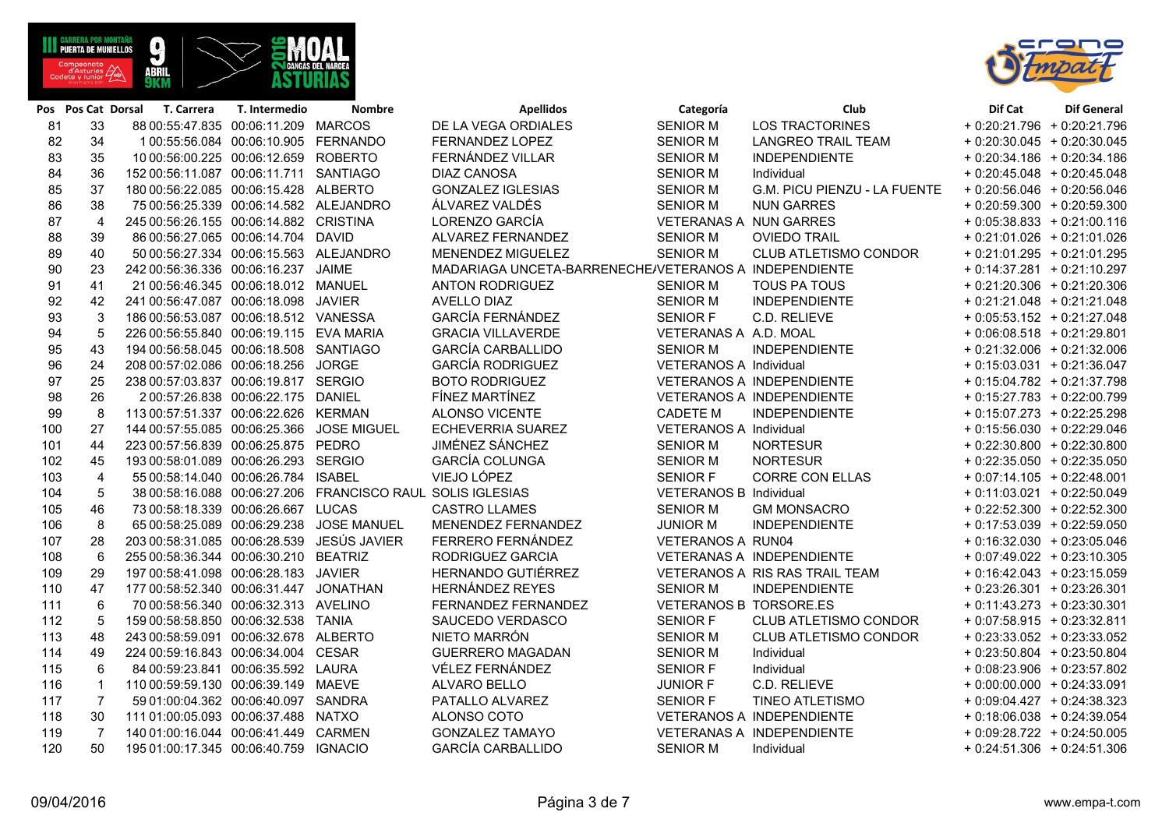**ABRI** 

| 82  | 34             | 1 00:55:56.084  00:06:10.905  FERNANDO     |                                                              | FERNANDEZ LOPEZ                                       | <b>SENIOR M</b>          | <b>LANGREO TRAIL TEAM</b>        | $+0:20:30.045 + 0:20:30.045$ |
|-----|----------------|--------------------------------------------|--------------------------------------------------------------|-------------------------------------------------------|--------------------------|----------------------------------|------------------------------|
| 83  | 35             | 10 00:56:00.225 00:06:12.659 ROBERTO       |                                                              | FERNÁNDEZ VILLAR                                      | <b>SENIOR M</b>          | <b>INDEPENDIENTE</b>             | $+0.20.34.186 + 0.20.34.186$ |
| 84  | 36             | 152 00:56:11.087 00:06:11.711 SANTIAGO     |                                                              | <b>DIAZ CANOSA</b>                                    | <b>SENIOR M</b>          | Individual                       | $+0:20:45.048 + 0:20:45.048$ |
| 85  | 37             | 180 00:56:22.085 00:06:15.428 ALBERTO      |                                                              | <b>GONZALEZ IGLESIAS</b>                              | <b>SENIOR M</b>          | G.M. PICU PIENZU - LA FUENTE     | $+0:20:56.046 + 0:20:56.046$ |
| 86  | 38             | 75 00:56:25.339 00:06:14.582 ALEJANDRO     |                                                              | ÁLVAREZ VALDÉS                                        | <b>SENIOR M</b>          | <b>NUN GARRES</b>                | $+0.20.59.300 + 0.20.59.300$ |
| 87  | $\overline{4}$ | 245 00:56:26.155 00:06:14.882 CRISTINA     |                                                              | LORENZO GARCÍA                                        | VETERANAS A NUN GARRES   |                                  | $+0.05:38.833 + 0.21:00.116$ |
| 88  | 39             | 86 00:56:27.065 00:06:14.704 DAVID         |                                                              | ALVAREZ FERNANDEZ                                     | <b>SENIOR M</b>          | <b>OVIEDO TRAIL</b>              | $+0:21:01.026 + 0:21:01.026$ |
| 89  | 40             | 50 00:56:27.334 00:06:15.563 ALEJANDRO     |                                                              | MENENDEZ MIGUELEZ                                     | <b>SENIOR M</b>          | <b>CLUB ATLETISMO CONDOR</b>     | $+0:21:01.295 + 0:21:01.295$ |
| 90  | 23             | 242 00:56:36.336 00:06:16.237 JAIME        |                                                              | MADARIAGA UNCETA-BARRENECHE/VETERANOS A INDEPENDIENTE |                          |                                  | $+0:14:37.281 + 0:21:10.297$ |
| 91  | 41             | 21 00:56:46.345 00:06:18.012 MANUEL        |                                                              | <b>ANTON RODRIGUEZ</b>                                | <b>SENIOR M</b>          | <b>TOUS PA TOUS</b>              | $+0.21:20.306 + 0.21:20.306$ |
| 92  | 42             | 241 00:56:47.087 00:06:18.098 JAVIER       |                                                              | AVELLO DIAZ                                           | <b>SENIOR M</b>          | <b>INDEPENDIENTE</b>             | $+0:21:21.048 + 0:21:21.048$ |
| 93  | 3              | 186 00:56:53.087 00:06:18.512 VANESSA      |                                                              | <b>GARCÍA FERNÁNDEZ</b>                               | <b>SENIOR F</b>          | C.D. RELIEVE                     | $+0.05:53.152 + 0.21:27.048$ |
| 94  | 5              | 226 00:56:55.840 00:06:19.115 EVA MARIA    |                                                              | <b>GRACIA VILLAVERDE</b>                              | VETERANAS A A.D. MOAL    |                                  | $+0.06:08.518 + 0.21:29.801$ |
| 95  | 43             | 194 00:56:58.045 00:06:18.508 SANTIAGO     |                                                              | <b>GARCÍA CARBALLIDO</b>                              | <b>SENIOR M</b>          | <b>INDEPENDIENTE</b>             | $+0:21:32.006 + 0:21:32.006$ |
| 96  | 24             | 208 00:57:02.086 00:06:18.256 JORGE        |                                                              | <b>GARCÍA RODRIGUEZ</b>                               | VETERANOS A Individual   |                                  | $+0:15:03.031 + 0:21:36.047$ |
| 97  | 25             | 238 00:57:03.837 00:06:19.817 SERGIO       |                                                              | <b>BOTO RODRIGUEZ</b>                                 |                          | <b>VETERANOS A INDEPENDIENTE</b> | $+0:15:04.782 + 0:21:37.798$ |
| 98  | 26             | 2 00:57:26.838 00:06:22.175 DANIEL         |                                                              | FÍNEZ MARTÍNEZ                                        |                          | <b>VETERANOS A INDEPENDIENTE</b> | $+0:15:27.783 + 0:22:00.799$ |
| 99  | 8              | 113 00:57:51.337 00:06:22.626 KERMAN       |                                                              | <b>ALONSO VICENTE</b>                                 | <b>CADETE M</b>          | <b>INDEPENDIENTE</b>             | $+0:15:07.273 + 0:22:25.298$ |
| 100 | 27             | 144 00:57:55.085 00:06:25.366 JOSE MIGUEL  |                                                              | ECHEVERRIA SUAREZ                                     | VETERANOS A Individual   |                                  | $+0.15.56.030 + 0.22.29.046$ |
| 101 | 44             | 223 00:57:56.839 00:06:25.875 PEDRO        |                                                              | JIMÉNEZ SÁNCHEZ                                       | <b>SENIOR M</b>          | <b>NORTESUR</b>                  | $+0.22:30.800 + 0.22:30.800$ |
| 102 | 45             | 193 00:58:01.089 00:06:26.293 SERGIO       |                                                              | <b>GARCÍA COLUNGA</b>                                 | <b>SENIOR M</b>          | <b>NORTESUR</b>                  | $+0.22:35.050 + 0.22:35.050$ |
| 103 | $\overline{4}$ | 55 00:58:14.040 00:06:26.784 ISABEL        |                                                              | VIEJO LÓPEZ                                           | <b>SENIOR F</b>          | <b>CORRE CON ELLAS</b>           | $+0.07:14.105 + 0.22:48.001$ |
| 104 | 5              |                                            | 38 00:58:16.088  00:06:27.206  FRANCISCO RAUL SOLIS IGLESIAS |                                                       | VETERANOS B Individual   |                                  | $+0:11:03.021 + 0:22:50.049$ |
| 105 | 46             | 73 00:58:18.339 00:06:26.667 LUCAS         |                                                              | <b>CASTRO LLAMES</b>                                  | <b>SENIOR M</b>          | <b>GM MONSACRO</b>               | $+0.22:52.300 + 0.22:52.300$ |
| 106 | 8              |                                            | 65 00:58:25.089 00:06:29.238 JOSE MANUEL                     | MENENDEZ FERNANDEZ                                    | <b>JUNIOR M</b>          | <b>INDEPENDIENTE</b>             | $+0.17:53.039 + 0.22:59.050$ |
| 107 | 28             | 203 00:58:31.085 00:06:28.539 JESÚS JAVIER |                                                              | FERRERO FERNÁNDEZ                                     | <b>VETERANOS A RUN04</b> |                                  | $+0.16.32.030 + 0.23.05.046$ |
| 108 | 6              | 255 00:58:36.344 00:06:30.210 BEATRIZ      |                                                              | RODRIGUEZ GARCIA                                      |                          | VETERANAS A INDEPENDIENTE        | $+0.07:49.022 + 0.23:10.305$ |
| 109 | 29             | 197 00:58:41.098 00:06:28.183 JAVIER       |                                                              | HERNANDO GUTIÉRREZ                                    |                          | VETERANOS A RIS RAS TRAIL TEAM   | $+0:16:42.043 + 0:23:15.059$ |
| 110 | 47             | 177 00:58:52.340 00:06:31.447 JONATHAN     |                                                              | <b>HERNÁNDEZ REYES</b>                                | <b>SENIOR M</b>          | <b>INDEPENDIENTE</b>             | $+0.23.26.301 + 0.23.26.301$ |
| 111 | 6              | 70 00:58:56.340 00:06:32.313 AVELINO       |                                                              | FERNANDEZ FERNANDEZ                                   | VETERANOS B TORSORE.ES   |                                  | $+0:11:43.273 + 0:23:30.301$ |
| 112 | 5              | 159 00:58:58.850 00:06:32.538 TANIA        |                                                              | SAUCEDO VERDASCO                                      | <b>SENIOR F</b>          | CLUB ATLETISMO CONDOR            | $+0.07:58.915 + 0.23:32.811$ |
| 113 | 48             | 243 00:58:59.091 00:06:32.678 ALBERTO      |                                                              | NIETO MARRÓN                                          | <b>SENIOR M</b>          | CLUB ATLETISMO CONDOR            | $+0.23.33.052 + 0.23.33.052$ |
| 114 | 49             | 224 00:59:16.843 00:06:34.004 CESAR        |                                                              | <b>GUERRERO MAGADAN</b>                               | <b>SENIOR M</b>          | Individual                       | $+0.23:50.804 + 0.23:50.804$ |
| 115 | 6              | 84 00:59:23.841 00:06:35.592 LAURA         |                                                              | VÉLEZ FERNÁNDEZ                                       | SENIOR F                 | Individual                       | $+0.08:23.906 + 0.23:57.802$ |
| 116 | $\mathbf{1}$   | 110 00:59:59.130 00:06:39.149 MAEVE        |                                                              | ALVARO BELLO                                          | <b>JUNIOR F</b>          | C.D. RELIEVE                     | $+0.00.00.000 + 0.24.33.091$ |
| 117 | $\overline{7}$ | 59 01:00:04.362 00:06:40.097 SANDRA        |                                                              | PATALLO ALVAREZ                                       | <b>SENIOR F</b>          | <b>TINEO ATLETISMO</b>           | $+0.09.04.427 + 0.24.38.323$ |
| 118 | 30             | 111 01:00:05.093 00:06:37.488 NATXO        |                                                              | ALONSO COTO                                           |                          | VETERANOS A INDEPENDIENTE        | $+0.18.06.038 + 0.24.39.054$ |
| 119 | $\overline{7}$ | 140 01:00:16.044 00:06:41.449 CARMEN       |                                                              | <b>GONZALEZ TAMAYO</b>                                |                          | VETERANAS A INDEPENDIENTE        | $+0.09:28.722 + 0.24:50.005$ |

**Pos Pos Cat Dorsal T. Carrera T. Intermedio Nombre Apellidos Categoría Club Dif Cat Dif General** 81 33 88 00:55:47.835 00:06:11.209 MARCOS DE LA VEGA ORDIALES SENIOR M LOS TRACTORINES + 0:20:21.796 + 0:20:21.796



50 195 01:00:17.345 00:06:40.759 IGNACIO GARCÍA CARBALLIDO SENIOR M Individual + 0:24:51.306 + 0:24:51.306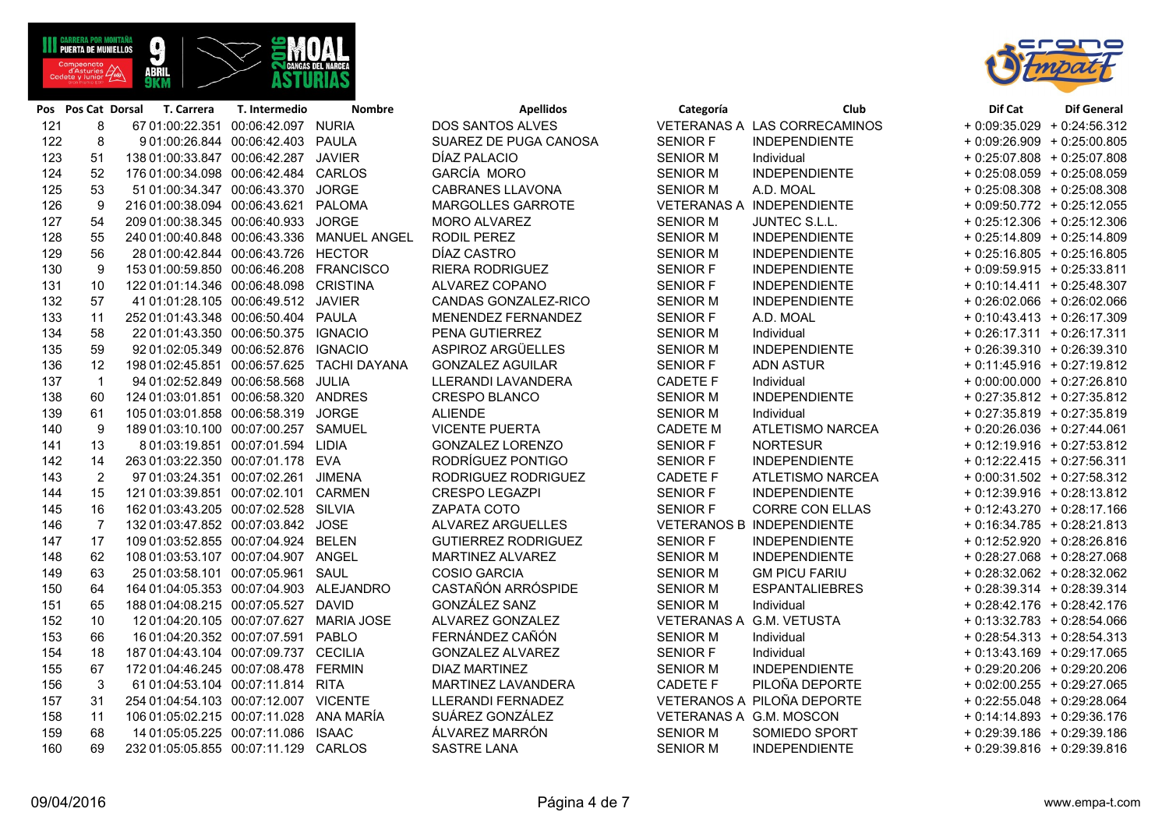O.

| 121 | 8              | 67 01:00:22.351 00:06:42.097 NURIA         |                                              | <b>DOS SANTOS ALVES</b>    |                 | VETERANAS A LAS CORRECAMINOS     | $+0.09:35.029 + 0.24:56.312$ |
|-----|----------------|--------------------------------------------|----------------------------------------------|----------------------------|-----------------|----------------------------------|------------------------------|
| 122 | 8              | 9 01:00:26.844 00:06:42.403 PAULA          |                                              | SUAREZ DE PUGA CANOSA      | <b>SENIOR F</b> | INDEPENDIENTE                    | $+0.09:26.909 + 0.25:00.805$ |
| 123 | 51             | 138 01:00:33.847 00:06:42.287 JAVIER       |                                              | DÍAZ PALACIO               | <b>SENIOR M</b> | Individual                       | + 0:25:07.808 + 0:25:07.808  |
| 124 | 52             | 176 01:00:34.098  00:06:42.484  CARLOS     |                                              | GARCÍA MORO                | <b>SENIOR M</b> | INDEPENDIENTE                    | $+0.25:08.059 + 0.25:08.059$ |
| 125 | 53             | 51 01:00:34.347 00:06:43.370 JORGE         |                                              | <b>CABRANES LLAVONA</b>    | <b>SENIOR M</b> | A.D. MOAL                        | + 0:25:08.308 + 0:25:08.308  |
| 126 | 9              | 216 01:00:38.094 00:06:43.621 PALOMA       |                                              | <b>MARGOLLES GARROTE</b>   |                 | VETERANAS A INDEPENDIENTE        | $+0.09:50.772 + 0.25:12.055$ |
| 127 | 54             | 209 01:00:38.345  00:06:40.933  JORGE      |                                              | <b>MORO ALVAREZ</b>        | <b>SENIOR M</b> | JUNTEC S.L.L.                    | $+0.25:12.306 + 0.25:12.306$ |
| 128 | 55             |                                            | 240 01:00:40.848  00:06:43.336  MANUEL ANGEL | RODIL PEREZ                | <b>SENIOR M</b> | <b>INDEPENDIENTE</b>             | $+0.25:14.809 + 0.25:14.809$ |
| 129 | 56             | 28 01:00:42.844 00:06:43.726 HECTOR        |                                              | DÍAZ CASTRO                | <b>SENIOR M</b> | INDEPENDIENTE                    | $+0.25:16.805 + 0.25:16.805$ |
| 130 | 9              | 153 01:00:59.850 00:06:46.208 FRANCISCO    |                                              | <b>RIERA RODRIGUEZ</b>     | <b>SENIOR F</b> | <b>INDEPENDIENTE</b>             | $+0.09:59.915 + 0.25:33.811$ |
| 131 | 10             | 122 01:01:14.346 00:06:48.098 CRISTINA     |                                              | ALVAREZ COPANO             | <b>SENIOR F</b> | <b>INDEPENDIENTE</b>             | $+0:10:14.411 + 0:25:48.307$ |
| 132 | 57             | 41 01:01:28.105 00:06:49.512 JAVIER        |                                              | CANDAS GONZALEZ-RICO       | <b>SENIOR M</b> | INDEPENDIENTE                    | $+0.26.02.066 + 0.26.02.066$ |
| 133 | 11             | 252 01:01:43.348 00:06:50.404 PAULA        |                                              | MENENDEZ FERNANDEZ         | <b>SENIOR F</b> | A.D. MOAL                        | $+0.10.43.413 + 0.26.17.309$ |
| 134 | 58             | 22 01:01:43.350 00:06:50.375 IGNACIO       |                                              | PENA GUTIERREZ             | <b>SENIOR M</b> | Individual                       | $+0.26:17.311 + 0.26:17.311$ |
| 135 | 59             | 92 01:02:05.349 00:06:52.876 IGNACIO       |                                              | ASPIROZ ARGÜELLES          | <b>SENIOR M</b> | <b>INDEPENDIENTE</b>             | $+0.26:39.310 + 0.26:39.310$ |
| 136 | 12             | 198 01:02:45.851 00:06:57.625 TACHI DAYANA |                                              | <b>GONZALEZ AGUILAR</b>    | <b>SENIOR F</b> | <b>ADN ASTUR</b>                 | $+0.11:45.916 + 0.27:19.812$ |
| 137 | $\mathbf{1}$   | 94 01:02:52.849 00:06:58.568 JULIA         |                                              | LLERANDI LAVANDERA         | <b>CADETE F</b> | Individual                       | $+0.00.00000 + 0.27.26.810$  |
| 138 | 60             | 124 01:03:01.851 00:06:58.320 ANDRES       |                                              | <b>CRESPO BLANCO</b>       | <b>SENIOR M</b> | <b>INDEPENDIENTE</b>             | + 0:27:35.812 + 0:27:35.812  |
| 139 | 61             | 105 01:03:01.858  00:06:58.319  JORGE      |                                              | <b>ALIENDE</b>             | <b>SENIOR M</b> | Individual                       | $+0.27:35.819 + 0.27:35.819$ |
| 140 | 9              | 189 01:03:10.100 00:07:00.257 SAMUEL       |                                              | <b>VICENTE PUERTA</b>      | <b>CADETE M</b> | <b>ATLETISMO NARCEA</b>          | $+0.20.26.036 + 0.27.44.061$ |
| 141 | 13             | 8 01:03:19.851 00:07:01.594 LIDIA          |                                              | <b>GONZALEZ LORENZO</b>    | <b>SENIOR F</b> | <b>NORTESUR</b>                  | $+0:12:19.916 + 0:27:53.812$ |
| 142 | 14             | 263 01:03:22.350 00:07:01.178 EVA          |                                              | RODRÍGUEZ PONTIGO          | <b>SENIOR F</b> | <b>INDEPENDIENTE</b>             | $+0.12:22.415 + 0.27:56.311$ |
| 143 | 2              | 97 01:03:24.351 00:07:02.261 JIMENA        |                                              | RODRIGUEZ RODRIGUEZ        | <b>CADETE F</b> | ATLETISMO NARCEA                 | $+0.00:31.502 + 0:27:58.312$ |
| 144 | 15             | 121 01:03:39.851 00:07:02.101 CARMEN       |                                              | <b>CRESPO LEGAZPI</b>      | <b>SENIOR F</b> | <b>INDEPENDIENTE</b>             | $+0.12.39.916 + 0.28.13.812$ |
| 145 | 16             | 162 01:03:43.205 00:07:02.528 SILVIA       |                                              | ZAPATA COTO                | <b>SENIOR F</b> | <b>CORRE CON ELLAS</b>           | $+0.12:43.270 + 0.28:17.166$ |
| 146 | $\overline{7}$ | 132 01:03:47.852 00:07:03.842 JOSE         |                                              | ALVAREZ ARGUELLES          |                 | <b>VETERANOS B INDEPENDIENTE</b> | $+0:16:34.785 + 0:28:21.813$ |
| 147 | 17             | 109 01:03:52.855 00:07:04.924 BELEN        |                                              | <b>GUTIERREZ RODRIGUEZ</b> | <b>SENIOR F</b> | INDEPENDIENTE                    | + 0:12:52.920 + 0:28:26.816  |
| 148 | 62             | 108 01:03:53.107 00:07:04.907 ANGEL        |                                              | MARTINEZ ALVAREZ           | <b>SENIOR M</b> | <b>INDEPENDIENTE</b>             | + 0:28:27.068 + 0:28:27.068  |
| 149 | 63             | 25 01:03:58.101 00:07:05.961 SAUL          |                                              | <b>COSIO GARCIA</b>        | <b>SENIOR M</b> | <b>GM PICU FARIU</b>             | + 0:28:32.062 + 0:28:32.062  |
| 150 | 64             | 164 01:04:05.353 00:07:04.903 ALEJANDRO    |                                              | CASTAÑÓN ARRÓSPIDE         | <b>SENIOR M</b> | <b>ESPANTALIEBRES</b>            | $+0.28:39.314 + 0.28:39.314$ |
| 151 | 65             | 188 01:04:08.215 00:07:05.527 DAVID        |                                              | GONZÁLEZ SANZ              | <b>SENIOR M</b> | Individual                       | + 0:28:42.176 + 0:28:42.176  |
| 152 | 10             | 12 01:04:20.105 00:07:07.627 MARIA JOSE    |                                              | ALVAREZ GONZALEZ           |                 | VETERANAS A G.M. VETUSTA         | $+0.13.32.783 + 0.28.54.066$ |
| 153 | 66             | 16 01:04:20.352 00:07:07.591 PABLO         |                                              | FERNÁNDEZ CAÑÓN            | <b>SENIOR M</b> | Individual                       | $+0.28:54.313 + 0.28:54.313$ |
| 154 | 18             | 187 01:04:43.104 00:07:09.737 CECILIA      |                                              | <b>GONZALEZ ALVAREZ</b>    | <b>SENIOR F</b> | Individual                       | $+0.13.43.169 + 0.29.17.065$ |
| 155 | 67             | 172 01:04:46.245 00:07:08.478 FERMIN       |                                              | <b>DIAZ MARTINEZ</b>       | <b>SENIOR M</b> | <b>INDEPENDIENTE</b>             | + 0:29:20.206 + 0:29:20.206  |
| 156 | $\mathbf{3}$   | 61 01:04:53.104 00:07:11.814 RITA          |                                              | MARTINEZ LAVANDERA         | <b>CADETE F</b> | PILOÑA DEPORTE                   | $+0.02:00.255 + 0.29:27.065$ |
| 157 | 31             | 254 01:04:54.103 00:07:12.007 VICENTE      |                                              | LLERANDI FERNADEZ          |                 | VETERANOS A PILOÑA DEPORTE       | $+0.22.55.048 + 0.29.28.064$ |
| 158 | 11             | 106 01:05:02.215 00:07:11.028 ANA MARÍA    |                                              | SUÁREZ GONZÁLEZ            |                 | VETERANAS A G.M. MOSCON          | $+0.14:14.893 + 0.29:36.176$ |
| 159 | 68             | 14 01:05:05.225 00:07:11.086 ISAAC         |                                              | ÁLVAREZ MARRÓN             | <b>SENIOR M</b> | SOMIEDO SPORT                    | $+0.29.39.186 + 0.29.39.186$ |
| 160 | 69             | 232 01:05:05.855 00:07:11.129 CARLOS       |                                              | <b>SASTRE LANA</b>         | <b>SENIOR M</b> | <b>INDEPENDIENTE</b>             | $+0.29.39.816 + 0.29.39.816$ |



|                |                                                                                       |                         |            | <b>Nombre</b>                                                                                |                                                                                                                                                                                                                                                                                                                                                                                                                                                                                                                                                                                                                                                                                                                                                                                                                                                                                                                                                                                                                                                                                                                                                                                                                                                                                                                                                                                                                                                                                                                                                                                      |                                                                                                                                                                                                                                                                                                                 | Club                                                                                                                                                                                                                       | Dif Cat                                                                                                                                                                                                                                                                                                                                                                                                                                     | <b>Dif General</b>                                                                                                                                                                                                                                                                                                                                                                                                                                                                                                                                                                                                                                                                                                                                                                                                                                                                                                                                                                                                                                                                                                                                                                                                                                                                                                 |
|----------------|---------------------------------------------------------------------------------------|-------------------------|------------|----------------------------------------------------------------------------------------------|--------------------------------------------------------------------------------------------------------------------------------------------------------------------------------------------------------------------------------------------------------------------------------------------------------------------------------------------------------------------------------------------------------------------------------------------------------------------------------------------------------------------------------------------------------------------------------------------------------------------------------------------------------------------------------------------------------------------------------------------------------------------------------------------------------------------------------------------------------------------------------------------------------------------------------------------------------------------------------------------------------------------------------------------------------------------------------------------------------------------------------------------------------------------------------------------------------------------------------------------------------------------------------------------------------------------------------------------------------------------------------------------------------------------------------------------------------------------------------------------------------------------------------------------------------------------------------------|-----------------------------------------------------------------------------------------------------------------------------------------------------------------------------------------------------------------------------------------------------------------------------------------------------------------|----------------------------------------------------------------------------------------------------------------------------------------------------------------------------------------------------------------------------|---------------------------------------------------------------------------------------------------------------------------------------------------------------------------------------------------------------------------------------------------------------------------------------------------------------------------------------------------------------------------------------------------------------------------------------------|--------------------------------------------------------------------------------------------------------------------------------------------------------------------------------------------------------------------------------------------------------------------------------------------------------------------------------------------------------------------------------------------------------------------------------------------------------------------------------------------------------------------------------------------------------------------------------------------------------------------------------------------------------------------------------------------------------------------------------------------------------------------------------------------------------------------------------------------------------------------------------------------------------------------------------------------------------------------------------------------------------------------------------------------------------------------------------------------------------------------------------------------------------------------------------------------------------------------------------------------------------------------------------------------------------------------|
|                |                                                                                       |                         |            |                                                                                              |                                                                                                                                                                                                                                                                                                                                                                                                                                                                                                                                                                                                                                                                                                                                                                                                                                                                                                                                                                                                                                                                                                                                                                                                                                                                                                                                                                                                                                                                                                                                                                                      |                                                                                                                                                                                                                                                                                                                 |                                                                                                                                                                                                                            |                                                                                                                                                                                                                                                                                                                                                                                                                                             |                                                                                                                                                                                                                                                                                                                                                                                                                                                                                                                                                                                                                                                                                                                                                                                                                                                                                                                                                                                                                                                                                                                                                                                                                                                                                                                    |
| 8              |                                                                                       |                         |            |                                                                                              | SUAREZ DE PUGA CANOSA                                                                                                                                                                                                                                                                                                                                                                                                                                                                                                                                                                                                                                                                                                                                                                                                                                                                                                                                                                                                                                                                                                                                                                                                                                                                                                                                                                                                                                                                                                                                                                | <b>SENIOR F</b>                                                                                                                                                                                                                                                                                                 | <b>INDEPENDIENTE</b>                                                                                                                                                                                                       |                                                                                                                                                                                                                                                                                                                                                                                                                                             |                                                                                                                                                                                                                                                                                                                                                                                                                                                                                                                                                                                                                                                                                                                                                                                                                                                                                                                                                                                                                                                                                                                                                                                                                                                                                                                    |
| 51             |                                                                                       |                         |            |                                                                                              | DÍAZ PALACIO                                                                                                                                                                                                                                                                                                                                                                                                                                                                                                                                                                                                                                                                                                                                                                                                                                                                                                                                                                                                                                                                                                                                                                                                                                                                                                                                                                                                                                                                                                                                                                         | <b>SENIOR M</b>                                                                                                                                                                                                                                                                                                 | Individual                                                                                                                                                                                                                 |                                                                                                                                                                                                                                                                                                                                                                                                                                             |                                                                                                                                                                                                                                                                                                                                                                                                                                                                                                                                                                                                                                                                                                                                                                                                                                                                                                                                                                                                                                                                                                                                                                                                                                                                                                                    |
| 52             |                                                                                       |                         |            |                                                                                              | GARCÍA MORO                                                                                                                                                                                                                                                                                                                                                                                                                                                                                                                                                                                                                                                                                                                                                                                                                                                                                                                                                                                                                                                                                                                                                                                                                                                                                                                                                                                                                                                                                                                                                                          | <b>SENIOR M</b>                                                                                                                                                                                                                                                                                                 | <b>INDEPENDIENTE</b>                                                                                                                                                                                                       |                                                                                                                                                                                                                                                                                                                                                                                                                                             |                                                                                                                                                                                                                                                                                                                                                                                                                                                                                                                                                                                                                                                                                                                                                                                                                                                                                                                                                                                                                                                                                                                                                                                                                                                                                                                    |
| 53             |                                                                                       |                         |            |                                                                                              | <b>CABRANES LLAVONA</b>                                                                                                                                                                                                                                                                                                                                                                                                                                                                                                                                                                                                                                                                                                                                                                                                                                                                                                                                                                                                                                                                                                                                                                                                                                                                                                                                                                                                                                                                                                                                                              | <b>SENIOR M</b>                                                                                                                                                                                                                                                                                                 | A.D. MOAL                                                                                                                                                                                                                  |                                                                                                                                                                                                                                                                                                                                                                                                                                             |                                                                                                                                                                                                                                                                                                                                                                                                                                                                                                                                                                                                                                                                                                                                                                                                                                                                                                                                                                                                                                                                                                                                                                                                                                                                                                                    |
| 9              |                                                                                       |                         |            |                                                                                              | MARGOLLES GARROTE                                                                                                                                                                                                                                                                                                                                                                                                                                                                                                                                                                                                                                                                                                                                                                                                                                                                                                                                                                                                                                                                                                                                                                                                                                                                                                                                                                                                                                                                                                                                                                    |                                                                                                                                                                                                                                                                                                                 |                                                                                                                                                                                                                            |                                                                                                                                                                                                                                                                                                                                                                                                                                             |                                                                                                                                                                                                                                                                                                                                                                                                                                                                                                                                                                                                                                                                                                                                                                                                                                                                                                                                                                                                                                                                                                                                                                                                                                                                                                                    |
| 54             |                                                                                       |                         |            |                                                                                              | <b>MORO ALVAREZ</b>                                                                                                                                                                                                                                                                                                                                                                                                                                                                                                                                                                                                                                                                                                                                                                                                                                                                                                                                                                                                                                                                                                                                                                                                                                                                                                                                                                                                                                                                                                                                                                  | <b>SENIOR M</b>                                                                                                                                                                                                                                                                                                 | JUNTEC S.L.L.                                                                                                                                                                                                              |                                                                                                                                                                                                                                                                                                                                                                                                                                             |                                                                                                                                                                                                                                                                                                                                                                                                                                                                                                                                                                                                                                                                                                                                                                                                                                                                                                                                                                                                                                                                                                                                                                                                                                                                                                                    |
| 55             |                                                                                       |                         |            |                                                                                              | RODIL PEREZ                                                                                                                                                                                                                                                                                                                                                                                                                                                                                                                                                                                                                                                                                                                                                                                                                                                                                                                                                                                                                                                                                                                                                                                                                                                                                                                                                                                                                                                                                                                                                                          | <b>SENIOR M</b>                                                                                                                                                                                                                                                                                                 | <b>INDEPENDIENTE</b>                                                                                                                                                                                                       |                                                                                                                                                                                                                                                                                                                                                                                                                                             |                                                                                                                                                                                                                                                                                                                                                                                                                                                                                                                                                                                                                                                                                                                                                                                                                                                                                                                                                                                                                                                                                                                                                                                                                                                                                                                    |
| 56             |                                                                                       |                         |            |                                                                                              | DÍAZ CASTRO                                                                                                                                                                                                                                                                                                                                                                                                                                                                                                                                                                                                                                                                                                                                                                                                                                                                                                                                                                                                                                                                                                                                                                                                                                                                                                                                                                                                                                                                                                                                                                          | <b>SENIOR M</b>                                                                                                                                                                                                                                                                                                 | <b>INDEPENDIENTE</b>                                                                                                                                                                                                       |                                                                                                                                                                                                                                                                                                                                                                                                                                             |                                                                                                                                                                                                                                                                                                                                                                                                                                                                                                                                                                                                                                                                                                                                                                                                                                                                                                                                                                                                                                                                                                                                                                                                                                                                                                                    |
| 9              |                                                                                       |                         |            |                                                                                              | <b>RIERA RODRIGUEZ</b>                                                                                                                                                                                                                                                                                                                                                                                                                                                                                                                                                                                                                                                                                                                                                                                                                                                                                                                                                                                                                                                                                                                                                                                                                                                                                                                                                                                                                                                                                                                                                               | <b>SENIOR F</b>                                                                                                                                                                                                                                                                                                 | <b>INDEPENDIENTE</b>                                                                                                                                                                                                       |                                                                                                                                                                                                                                                                                                                                                                                                                                             |                                                                                                                                                                                                                                                                                                                                                                                                                                                                                                                                                                                                                                                                                                                                                                                                                                                                                                                                                                                                                                                                                                                                                                                                                                                                                                                    |
| 10             |                                                                                       |                         |            |                                                                                              | ALVAREZ COPANO                                                                                                                                                                                                                                                                                                                                                                                                                                                                                                                                                                                                                                                                                                                                                                                                                                                                                                                                                                                                                                                                                                                                                                                                                                                                                                                                                                                                                                                                                                                                                                       | <b>SENIOR F</b>                                                                                                                                                                                                                                                                                                 | <b>INDEPENDIENTE</b>                                                                                                                                                                                                       |                                                                                                                                                                                                                                                                                                                                                                                                                                             |                                                                                                                                                                                                                                                                                                                                                                                                                                                                                                                                                                                                                                                                                                                                                                                                                                                                                                                                                                                                                                                                                                                                                                                                                                                                                                                    |
| 57             |                                                                                       |                         |            |                                                                                              | CANDAS GONZALEZ-RICO                                                                                                                                                                                                                                                                                                                                                                                                                                                                                                                                                                                                                                                                                                                                                                                                                                                                                                                                                                                                                                                                                                                                                                                                                                                                                                                                                                                                                                                                                                                                                                 | <b>SENIOR M</b>                                                                                                                                                                                                                                                                                                 | <b>INDEPENDIENTE</b>                                                                                                                                                                                                       |                                                                                                                                                                                                                                                                                                                                                                                                                                             |                                                                                                                                                                                                                                                                                                                                                                                                                                                                                                                                                                                                                                                                                                                                                                                                                                                                                                                                                                                                                                                                                                                                                                                                                                                                                                                    |
| 11             |                                                                                       |                         |            |                                                                                              | MENENDEZ FERNANDEZ                                                                                                                                                                                                                                                                                                                                                                                                                                                                                                                                                                                                                                                                                                                                                                                                                                                                                                                                                                                                                                                                                                                                                                                                                                                                                                                                                                                                                                                                                                                                                                   | <b>SENIOR F</b>                                                                                                                                                                                                                                                                                                 | A.D. MOAL                                                                                                                                                                                                                  |                                                                                                                                                                                                                                                                                                                                                                                                                                             |                                                                                                                                                                                                                                                                                                                                                                                                                                                                                                                                                                                                                                                                                                                                                                                                                                                                                                                                                                                                                                                                                                                                                                                                                                                                                                                    |
| 58             |                                                                                       |                         |            |                                                                                              | PENA GUTIERREZ                                                                                                                                                                                                                                                                                                                                                                                                                                                                                                                                                                                                                                                                                                                                                                                                                                                                                                                                                                                                                                                                                                                                                                                                                                                                                                                                                                                                                                                                                                                                                                       | <b>SENIOR M</b>                                                                                                                                                                                                                                                                                                 | Individual                                                                                                                                                                                                                 |                                                                                                                                                                                                                                                                                                                                                                                                                                             |                                                                                                                                                                                                                                                                                                                                                                                                                                                                                                                                                                                                                                                                                                                                                                                                                                                                                                                                                                                                                                                                                                                                                                                                                                                                                                                    |
| 59             |                                                                                       |                         |            | <b>IGNACIO</b>                                                                               | ASPIROZ ARGÜELLES                                                                                                                                                                                                                                                                                                                                                                                                                                                                                                                                                                                                                                                                                                                                                                                                                                                                                                                                                                                                                                                                                                                                                                                                                                                                                                                                                                                                                                                                                                                                                                    | <b>SENIOR M</b>                                                                                                                                                                                                                                                                                                 | <b>INDEPENDIENTE</b>                                                                                                                                                                                                       |                                                                                                                                                                                                                                                                                                                                                                                                                                             |                                                                                                                                                                                                                                                                                                                                                                                                                                                                                                                                                                                                                                                                                                                                                                                                                                                                                                                                                                                                                                                                                                                                                                                                                                                                                                                    |
| 12             |                                                                                       |                         |            |                                                                                              | <b>GONZALEZ AGUILAR</b>                                                                                                                                                                                                                                                                                                                                                                                                                                                                                                                                                                                                                                                                                                                                                                                                                                                                                                                                                                                                                                                                                                                                                                                                                                                                                                                                                                                                                                                                                                                                                              | <b>SENIOR F</b>                                                                                                                                                                                                                                                                                                 | <b>ADN ASTUR</b>                                                                                                                                                                                                           |                                                                                                                                                                                                                                                                                                                                                                                                                                             |                                                                                                                                                                                                                                                                                                                                                                                                                                                                                                                                                                                                                                                                                                                                                                                                                                                                                                                                                                                                                                                                                                                                                                                                                                                                                                                    |
| $\mathbf{1}$   |                                                                                       |                         |            |                                                                                              | LLERANDI LAVANDERA                                                                                                                                                                                                                                                                                                                                                                                                                                                                                                                                                                                                                                                                                                                                                                                                                                                                                                                                                                                                                                                                                                                                                                                                                                                                                                                                                                                                                                                                                                                                                                   | <b>CADETE F</b>                                                                                                                                                                                                                                                                                                 | Individual                                                                                                                                                                                                                 |                                                                                                                                                                                                                                                                                                                                                                                                                                             |                                                                                                                                                                                                                                                                                                                                                                                                                                                                                                                                                                                                                                                                                                                                                                                                                                                                                                                                                                                                                                                                                                                                                                                                                                                                                                                    |
| 60             |                                                                                       |                         |            |                                                                                              | CRESPO BLANCO                                                                                                                                                                                                                                                                                                                                                                                                                                                                                                                                                                                                                                                                                                                                                                                                                                                                                                                                                                                                                                                                                                                                                                                                                                                                                                                                                                                                                                                                                                                                                                        | <b>SENIOR M</b>                                                                                                                                                                                                                                                                                                 | <b>INDEPENDIENTE</b>                                                                                                                                                                                                       |                                                                                                                                                                                                                                                                                                                                                                                                                                             |                                                                                                                                                                                                                                                                                                                                                                                                                                                                                                                                                                                                                                                                                                                                                                                                                                                                                                                                                                                                                                                                                                                                                                                                                                                                                                                    |
| 61             |                                                                                       |                         |            |                                                                                              | <b>ALIENDE</b>                                                                                                                                                                                                                                                                                                                                                                                                                                                                                                                                                                                                                                                                                                                                                                                                                                                                                                                                                                                                                                                                                                                                                                                                                                                                                                                                                                                                                                                                                                                                                                       | <b>SENIOR M</b>                                                                                                                                                                                                                                                                                                 | Individual                                                                                                                                                                                                                 |                                                                                                                                                                                                                                                                                                                                                                                                                                             |                                                                                                                                                                                                                                                                                                                                                                                                                                                                                                                                                                                                                                                                                                                                                                                                                                                                                                                                                                                                                                                                                                                                                                                                                                                                                                                    |
| 9              |                                                                                       |                         |            |                                                                                              | <b>VICENTE PUERTA</b>                                                                                                                                                                                                                                                                                                                                                                                                                                                                                                                                                                                                                                                                                                                                                                                                                                                                                                                                                                                                                                                                                                                                                                                                                                                                                                                                                                                                                                                                                                                                                                | <b>CADETE M</b>                                                                                                                                                                                                                                                                                                 |                                                                                                                                                                                                                            |                                                                                                                                                                                                                                                                                                                                                                                                                                             |                                                                                                                                                                                                                                                                                                                                                                                                                                                                                                                                                                                                                                                                                                                                                                                                                                                                                                                                                                                                                                                                                                                                                                                                                                                                                                                    |
| 13             |                                                                                       |                         |            |                                                                                              | <b>GONZALEZ LORENZO</b>                                                                                                                                                                                                                                                                                                                                                                                                                                                                                                                                                                                                                                                                                                                                                                                                                                                                                                                                                                                                                                                                                                                                                                                                                                                                                                                                                                                                                                                                                                                                                              | <b>SENIOR F</b>                                                                                                                                                                                                                                                                                                 | <b>NORTESUR</b>                                                                                                                                                                                                            |                                                                                                                                                                                                                                                                                                                                                                                                                                             |                                                                                                                                                                                                                                                                                                                                                                                                                                                                                                                                                                                                                                                                                                                                                                                                                                                                                                                                                                                                                                                                                                                                                                                                                                                                                                                    |
| 14             |                                                                                       |                         |            |                                                                                              | RODRÍGUEZ PONTIGO                                                                                                                                                                                                                                                                                                                                                                                                                                                                                                                                                                                                                                                                                                                                                                                                                                                                                                                                                                                                                                                                                                                                                                                                                                                                                                                                                                                                                                                                                                                                                                    | <b>SENIOR F</b>                                                                                                                                                                                                                                                                                                 | <b>INDEPENDIENTE</b>                                                                                                                                                                                                       |                                                                                                                                                                                                                                                                                                                                                                                                                                             |                                                                                                                                                                                                                                                                                                                                                                                                                                                                                                                                                                                                                                                                                                                                                                                                                                                                                                                                                                                                                                                                                                                                                                                                                                                                                                                    |
| $\overline{2}$ |                                                                                       |                         |            |                                                                                              | RODRIGUEZ RODRIGUEZ                                                                                                                                                                                                                                                                                                                                                                                                                                                                                                                                                                                                                                                                                                                                                                                                                                                                                                                                                                                                                                                                                                                                                                                                                                                                                                                                                                                                                                                                                                                                                                  | <b>CADETE F</b>                                                                                                                                                                                                                                                                                                 | <b>ATLETISMO NARCEA</b>                                                                                                                                                                                                    |                                                                                                                                                                                                                                                                                                                                                                                                                                             |                                                                                                                                                                                                                                                                                                                                                                                                                                                                                                                                                                                                                                                                                                                                                                                                                                                                                                                                                                                                                                                                                                                                                                                                                                                                                                                    |
|                |                                                                                       |                         |            |                                                                                              | <b>CRESPO LEGAZPI</b>                                                                                                                                                                                                                                                                                                                                                                                                                                                                                                                                                                                                                                                                                                                                                                                                                                                                                                                                                                                                                                                                                                                                                                                                                                                                                                                                                                                                                                                                                                                                                                | <b>SENIOR F</b>                                                                                                                                                                                                                                                                                                 | <b>INDEPENDIENTE</b>                                                                                                                                                                                                       |                                                                                                                                                                                                                                                                                                                                                                                                                                             |                                                                                                                                                                                                                                                                                                                                                                                                                                                                                                                                                                                                                                                                                                                                                                                                                                                                                                                                                                                                                                                                                                                                                                                                                                                                                                                    |
| 16             |                                                                                       |                         |            |                                                                                              | ZAPATA COTO                                                                                                                                                                                                                                                                                                                                                                                                                                                                                                                                                                                                                                                                                                                                                                                                                                                                                                                                                                                                                                                                                                                                                                                                                                                                                                                                                                                                                                                                                                                                                                          | <b>SENIOR F</b>                                                                                                                                                                                                                                                                                                 | <b>CORRE CON ELLAS</b>                                                                                                                                                                                                     |                                                                                                                                                                                                                                                                                                                                                                                                                                             |                                                                                                                                                                                                                                                                                                                                                                                                                                                                                                                                                                                                                                                                                                                                                                                                                                                                                                                                                                                                                                                                                                                                                                                                                                                                                                                    |
| $\overline{7}$ |                                                                                       |                         |            |                                                                                              | ALVAREZ ARGUELLES                                                                                                                                                                                                                                                                                                                                                                                                                                                                                                                                                                                                                                                                                                                                                                                                                                                                                                                                                                                                                                                                                                                                                                                                                                                                                                                                                                                                                                                                                                                                                                    |                                                                                                                                                                                                                                                                                                                 |                                                                                                                                                                                                                            |                                                                                                                                                                                                                                                                                                                                                                                                                                             |                                                                                                                                                                                                                                                                                                                                                                                                                                                                                                                                                                                                                                                                                                                                                                                                                                                                                                                                                                                                                                                                                                                                                                                                                                                                                                                    |
|                |                                                                                       |                         |            |                                                                                              | <b>GUTIERREZ RODRIGUEZ</b>                                                                                                                                                                                                                                                                                                                                                                                                                                                                                                                                                                                                                                                                                                                                                                                                                                                                                                                                                                                                                                                                                                                                                                                                                                                                                                                                                                                                                                                                                                                                                           |                                                                                                                                                                                                                                                                                                                 |                                                                                                                                                                                                                            |                                                                                                                                                                                                                                                                                                                                                                                                                                             |                                                                                                                                                                                                                                                                                                                                                                                                                                                                                                                                                                                                                                                                                                                                                                                                                                                                                                                                                                                                                                                                                                                                                                                                                                                                                                                    |
|                |                                                                                       |                         |            |                                                                                              |                                                                                                                                                                                                                                                                                                                                                                                                                                                                                                                                                                                                                                                                                                                                                                                                                                                                                                                                                                                                                                                                                                                                                                                                                                                                                                                                                                                                                                                                                                                                                                                      |                                                                                                                                                                                                                                                                                                                 |                                                                                                                                                                                                                            |                                                                                                                                                                                                                                                                                                                                                                                                                                             |                                                                                                                                                                                                                                                                                                                                                                                                                                                                                                                                                                                                                                                                                                                                                                                                                                                                                                                                                                                                                                                                                                                                                                                                                                                                                                                    |
|                |                                                                                       |                         |            |                                                                                              |                                                                                                                                                                                                                                                                                                                                                                                                                                                                                                                                                                                                                                                                                                                                                                                                                                                                                                                                                                                                                                                                                                                                                                                                                                                                                                                                                                                                                                                                                                                                                                                      |                                                                                                                                                                                                                                                                                                                 |                                                                                                                                                                                                                            |                                                                                                                                                                                                                                                                                                                                                                                                                                             |                                                                                                                                                                                                                                                                                                                                                                                                                                                                                                                                                                                                                                                                                                                                                                                                                                                                                                                                                                                                                                                                                                                                                                                                                                                                                                                    |
|                |                                                                                       |                         |            |                                                                                              |                                                                                                                                                                                                                                                                                                                                                                                                                                                                                                                                                                                                                                                                                                                                                                                                                                                                                                                                                                                                                                                                                                                                                                                                                                                                                                                                                                                                                                                                                                                                                                                      |                                                                                                                                                                                                                                                                                                                 |                                                                                                                                                                                                                            |                                                                                                                                                                                                                                                                                                                                                                                                                                             |                                                                                                                                                                                                                                                                                                                                                                                                                                                                                                                                                                                                                                                                                                                                                                                                                                                                                                                                                                                                                                                                                                                                                                                                                                                                                                                    |
|                |                                                                                       |                         |            |                                                                                              |                                                                                                                                                                                                                                                                                                                                                                                                                                                                                                                                                                                                                                                                                                                                                                                                                                                                                                                                                                                                                                                                                                                                                                                                                                                                                                                                                                                                                                                                                                                                                                                      |                                                                                                                                                                                                                                                                                                                 |                                                                                                                                                                                                                            |                                                                                                                                                                                                                                                                                                                                                                                                                                             |                                                                                                                                                                                                                                                                                                                                                                                                                                                                                                                                                                                                                                                                                                                                                                                                                                                                                                                                                                                                                                                                                                                                                                                                                                                                                                                    |
|                |                                                                                       |                         |            |                                                                                              |                                                                                                                                                                                                                                                                                                                                                                                                                                                                                                                                                                                                                                                                                                                                                                                                                                                                                                                                                                                                                                                                                                                                                                                                                                                                                                                                                                                                                                                                                                                                                                                      |                                                                                                                                                                                                                                                                                                                 |                                                                                                                                                                                                                            |                                                                                                                                                                                                                                                                                                                                                                                                                                             |                                                                                                                                                                                                                                                                                                                                                                                                                                                                                                                                                                                                                                                                                                                                                                                                                                                                                                                                                                                                                                                                                                                                                                                                                                                                                                                    |
|                |                                                                                       |                         |            |                                                                                              |                                                                                                                                                                                                                                                                                                                                                                                                                                                                                                                                                                                                                                                                                                                                                                                                                                                                                                                                                                                                                                                                                                                                                                                                                                                                                                                                                                                                                                                                                                                                                                                      |                                                                                                                                                                                                                                                                                                                 |                                                                                                                                                                                                                            |                                                                                                                                                                                                                                                                                                                                                                                                                                             |                                                                                                                                                                                                                                                                                                                                                                                                                                                                                                                                                                                                                                                                                                                                                                                                                                                                                                                                                                                                                                                                                                                                                                                                                                                                                                                    |
|                |                                                                                       |                         |            |                                                                                              |                                                                                                                                                                                                                                                                                                                                                                                                                                                                                                                                                                                                                                                                                                                                                                                                                                                                                                                                                                                                                                                                                                                                                                                                                                                                                                                                                                                                                                                                                                                                                                                      |                                                                                                                                                                                                                                                                                                                 |                                                                                                                                                                                                                            |                                                                                                                                                                                                                                                                                                                                                                                                                                             |                                                                                                                                                                                                                                                                                                                                                                                                                                                                                                                                                                                                                                                                                                                                                                                                                                                                                                                                                                                                                                                                                                                                                                                                                                                                                                                    |
|                |                                                                                       |                         |            |                                                                                              |                                                                                                                                                                                                                                                                                                                                                                                                                                                                                                                                                                                                                                                                                                                                                                                                                                                                                                                                                                                                                                                                                                                                                                                                                                                                                                                                                                                                                                                                                                                                                                                      |                                                                                                                                                                                                                                                                                                                 |                                                                                                                                                                                                                            |                                                                                                                                                                                                                                                                                                                                                                                                                                             |                                                                                                                                                                                                                                                                                                                                                                                                                                                                                                                                                                                                                                                                                                                                                                                                                                                                                                                                                                                                                                                                                                                                                                                                                                                                                                                    |
|                |                                                                                       |                         |            |                                                                                              |                                                                                                                                                                                                                                                                                                                                                                                                                                                                                                                                                                                                                                                                                                                                                                                                                                                                                                                                                                                                                                                                                                                                                                                                                                                                                                                                                                                                                                                                                                                                                                                      |                                                                                                                                                                                                                                                                                                                 |                                                                                                                                                                                                                            |                                                                                                                                                                                                                                                                                                                                                                                                                                             |                                                                                                                                                                                                                                                                                                                                                                                                                                                                                                                                                                                                                                                                                                                                                                                                                                                                                                                                                                                                                                                                                                                                                                                                                                                                                                                    |
|                |                                                                                       |                         |            |                                                                                              |                                                                                                                                                                                                                                                                                                                                                                                                                                                                                                                                                                                                                                                                                                                                                                                                                                                                                                                                                                                                                                                                                                                                                                                                                                                                                                                                                                                                                                                                                                                                                                                      |                                                                                                                                                                                                                                                                                                                 |                                                                                                                                                                                                                            |                                                                                                                                                                                                                                                                                                                                                                                                                                             |                                                                                                                                                                                                                                                                                                                                                                                                                                                                                                                                                                                                                                                                                                                                                                                                                                                                                                                                                                                                                                                                                                                                                                                                                                                                                                                    |
|                |                                                                                       |                         |            |                                                                                              |                                                                                                                                                                                                                                                                                                                                                                                                                                                                                                                                                                                                                                                                                                                                                                                                                                                                                                                                                                                                                                                                                                                                                                                                                                                                                                                                                                                                                                                                                                                                                                                      |                                                                                                                                                                                                                                                                                                                 |                                                                                                                                                                                                                            |                                                                                                                                                                                                                                                                                                                                                                                                                                             |                                                                                                                                                                                                                                                                                                                                                                                                                                                                                                                                                                                                                                                                                                                                                                                                                                                                                                                                                                                                                                                                                                                                                                                                                                                                                                                    |
|                |                                                                                       |                         |            |                                                                                              |                                                                                                                                                                                                                                                                                                                                                                                                                                                                                                                                                                                                                                                                                                                                                                                                                                                                                                                                                                                                                                                                                                                                                                                                                                                                                                                                                                                                                                                                                                                                                                                      |                                                                                                                                                                                                                                                                                                                 |                                                                                                                                                                                                                            |                                                                                                                                                                                                                                                                                                                                                                                                                                             |                                                                                                                                                                                                                                                                                                                                                                                                                                                                                                                                                                                                                                                                                                                                                                                                                                                                                                                                                                                                                                                                                                                                                                                                                                                                                                                    |
|                |                                                                                       |                         |            |                                                                                              |                                                                                                                                                                                                                                                                                                                                                                                                                                                                                                                                                                                                                                                                                                                                                                                                                                                                                                                                                                                                                                                                                                                                                                                                                                                                                                                                                                                                                                                                                                                                                                                      |                                                                                                                                                                                                                                                                                                                 |                                                                                                                                                                                                                            |                                                                                                                                                                                                                                                                                                                                                                                                                                             |                                                                                                                                                                                                                                                                                                                                                                                                                                                                                                                                                                                                                                                                                                                                                                                                                                                                                                                                                                                                                                                                                                                                                                                                                                                                                                                    |
|                | 15<br>17<br>62<br>63<br>64<br>65<br>10<br>66<br>18<br>67<br>3<br>31<br>11<br>68<br>69 | Pos Pos Cat Dorsal<br>8 | T. Carrera | 92 01:02:05.349 00:06:52.876<br>97 01:03:24.351 00:07:02.261<br>14 01:05:05.225 00:07:11.086 | T. Intermedio<br>67 01:00:22.351 00:06:42.097 NURIA<br>9 01:00:26.844 00:06:42.403 PAULA<br>138 01:00:33.847 00:06:42.287 JAVIER<br>176 01:00:34.098 00:06:42.484 CARLOS<br>51 01:00:34.347 00:06:43.370 JORGE<br>216 01:00:38.094 00:06:43.621<br>PALOMA<br>209 01:00:38.345 00:06:40.933 JORGE<br>240 01:00:40.848 00:06:43.336 MANUEL ANGEL<br>28 01:00:42.844 00:06:43.726 HECTOR<br>153 01:00:59.850 00:06:46.208 FRANCISCO<br>122 01:01:14.346 00:06:48.098 CRISTINA<br>41 01:01:28.105 00:06:49.512 JAVIER<br>252 01:01:43.348 00:06:50.404 PAULA<br>22 01:01:43.350 00:06:50.375 IGNACIO<br>198 01:02:45.851 00:06:57.625 TACHI DAYANA<br>94 01:02:52.849 00:06:58.568 JULIA<br>124 01:03:01.851 00:06:58.320 ANDRES<br>105 01:03:01.858 00:06:58.319 JORGE<br>189 01:03:10.100 00:07:00.257 SAMUEL<br>8 01:03:19.851 00:07:01.594 LIDIA<br>263 01:03:22.350 00:07:01.178 EVA<br><b>JIMENA</b><br>121 01:03:39.851 00:07:02.101 CARMEN<br>162 01:03:43.205 00:07:02.528 SILVIA<br>132 01:03:47.852 00:07:03.842 JOSE<br>109 01:03:52.855 00:07:04.924 BELEN<br>108 01:03:53.107 00:07:04.907 ANGEL<br>25 01:03:58.101 00:07:05.961 SAUL<br>164 01:04:05.353 00:07:04.903 ALEJANDRO<br>188 01:04:08.215 00:07:05.527 DAVID<br>12 01:04:20.105 00:07:07.627 MARIA JOSE<br>16 01:04:20.352 00:07:07.591 PABLO<br>187 01:04:43.104 00:07:09.737 CECILIA<br>172 01:04:46.245 00:07:08.478 FERMIN<br>61 01:04:53.104 00:07:11.814 RITA<br>254 01:04:54.103 00:07:12.007 VICENTE<br>106 01:05:02.215 00:07:11.028 ANA MARÍA<br><b>ISAAC</b><br>232 01:05:05.855 00:07:11.129 CARLOS | <b>Apellidos</b><br>DOS SANTOS ALVES<br>MARTINEZ ALVAREZ<br><b>COSIO GARCIA</b><br>CASTAÑÓN ARRÓSPIDE<br>GONZÁLEZ SANZ<br>ALVAREZ GONZALEZ<br>FERNÁNDEZ CAÑÓN<br><b>GONZALEZ ALVAREZ</b><br><b>DIAZ MARTINEZ</b><br>MARTINEZ LAVANDERA<br>LLERANDI FERNADEZ<br>SUÁREZ GONZÁLEZ<br>ÁLVAREZ MARRÓN<br>SASTRE LANA | Categoría<br><b>SENIOR F</b><br><b>SENIOR M</b><br><b>SENIOR M</b><br><b>SENIOR M</b><br><b>SENIOR M</b><br><b>SENIOR M</b><br><b>SENIOR F</b><br><b>SENIOR M</b><br><b>CADETE F</b><br><b>SENIOR M</b><br><b>SENIOR M</b> | VETERANAS A LAS CORRECAMINOS<br>VETERANAS A INDEPENDIENTE<br><b>ATLETISMO NARCEA</b><br><b>VETERANOS B INDEPENDIENTE</b><br><b>INDEPENDIENTE</b><br><b>INDEPENDIENTE</b><br><b>GM PICU FARIU</b><br><b>ESPANTALIEBRES</b><br>Individual<br>VETERANAS A G.M. VETUSTA<br>Individual<br>Individual<br><b>INDEPENDIENTE</b><br>PILOÑA DEPORTE<br>VETERANOS A PILOÑA DEPORTE<br>VETERANAS A G.M. MOSCON<br>SOMIEDO SPORT<br><b>INDEPENDIENTE</b> | $+0.09:35.029 + 0.24:56.312$<br>$+0.09:26.909 + 0.25:00.80$<br>$+0.25:07.808 + 0.25:07.808$<br>$+0.25:08.059 + 0.25:08.059$<br>$+0.25:08.308 + 0.25:08.308$<br>$+0.09:50.772 + 0.25:12.05$<br>$+0.25:12.306 + 0.25:12.306$<br>$+0.25:14.809 + 0.25:14.809$<br>$+0.25:16.805 + 0.25:16.805$<br>$+0.09:59.915 + 0.25:33.81$<br>$+0:10:14.411 + 0:25:48.30$<br>$+0.26:02.066 + 0.26:02.066$<br>$+0.10:43.413 + 0.26:17.309$<br>$+0.26:17.311 + 0.26:17.31$<br>$+0.26:39.310 + 0.26:39.310$<br>$+0.11:45.916 + 0.27:19.812$<br>$+0.00.00.000 + 0.27.26.810$<br>$+0.27:35.812 + 0.27:35.812$<br>$+0.27:35.819 + 0.27:35.819$<br>$+0.20:26.036 + 0.27:44.06$<br>$+0.12:19.916 + 0.27:53.812$<br>$+0.12:22.415 + 0.27:56.31$<br>$+0.00:31.502 + 0:27:58.312$<br>$+0.12.39.916 + 0.28.13.812$<br>$+0.12:43.270 + 0.28:17.16$<br>$+0.16.34.785 + 0.28.21.813$<br>$+0.12:52.920 + 0.28:26.810$<br>+ 0:28:27.068 + 0:28:27.06<br>$+0.28:32.062 + 0.28:32.062$<br>$+0.28:39.314 + 0.28:39.314$<br>$+0.28:42.176 + 0.28:42.176$<br>$+0.13.32.783 + 0.28.54.066$<br>$+0.28:54.313 + 0.28:54.313$<br>$+0.13:43.169 + 0.29:17.065$<br>$+0.29:20.206 + 0.29:20.206$<br>$+0.02:00.255 + 0.29:27.065$<br>$+0.22:55.048 + 0.29:28.064$<br>$+0.14:14.893 + 0.29:36.176$<br>$+0.29.39.186 + 0.29.39.186$<br>$+0.29:39.816 + 0.29:39.816$ |



| + 0:09:35.029  | $+0.24:56.312$     |
|----------------|--------------------|
| + 0:09:26.909  | $+0.25:00.805$     |
| + 0:25:07.808  | + 0:25:07.808      |
| + 0:25:08.059  | 0:25:08.059<br>$+$ |
| + 0:25:08.308  | $+0.25:08.308$     |
| + 0:09:50.772  | $+0.25:12.055$     |
| $+0.25:12.306$ | + 0:25:12.306      |
| + 0:25:14.809  | + 0:25:14.809      |
| $+0.25:16.805$ | $+0:25:16.805$     |
| $+0.09:59.915$ | $+0.25:33.811$     |
| $+0:10:14.411$ | $+0:25:48.307$     |
| + 0:26:02.066  | + 0:26:02.066      |
| $+0:10:43.413$ | $+0:26:17.309$     |
| $+0.26:17.311$ | $+0.26:17.311$     |
| + 0:26:39.310  | + 0:26:39.310      |
| $+0:11:45.916$ | + 0:27:19.812      |
| $+0.00:00.000$ | + 0:27:26.810      |
| + 0:27:35.812  | + 0:27:35.812      |
| + 0:27:35.819  | + 0:27:35.819      |
| + 0:20:26.036  | $+0:27:44.061$     |
| + 0:12:19.916  | + 0:27:53.812      |
| $+0:12:22.415$ | $+0.27:56.311$     |
| $+0:00:31.502$ | + 0:27:58.312      |
| + 0:12:39.916  | $+0.28:13.812$     |
| $+0:12:43.270$ | + 0:28:17.166      |
| $+0:16:34.785$ | $+0:28:21.813$     |
| + 0:12:52.920  | $+0:28:26.816$     |
| + 0:28:27.068  | + 0:28:27.068      |
| + 0:28:32.062  | + 0:28:32.062      |
| + 0:28:39.314  | + 0:28:39.314      |
| + 0:28:42.176  | $+0.28:42.176$     |
| $+0:13:32.783$ | $+0.28:54.066$     |
| $+0.28:54.313$ | $+0.28:54.313$     |
| $+0.13:43.169$ | + 0:29:17.065      |
| + 0:29:20.206  | + 0:29:20.206      |
| + 0:02:00.255  | + 0:29:27.065      |
| + 0:22:55.048  | + 0:29:28.064      |
| $+0:14:14.893$ | + 0:29:36.176      |
| + 0:29:39.186  | + 0:29:39.186      |
| + 0:29:39.816  | + 0:29:39.816      |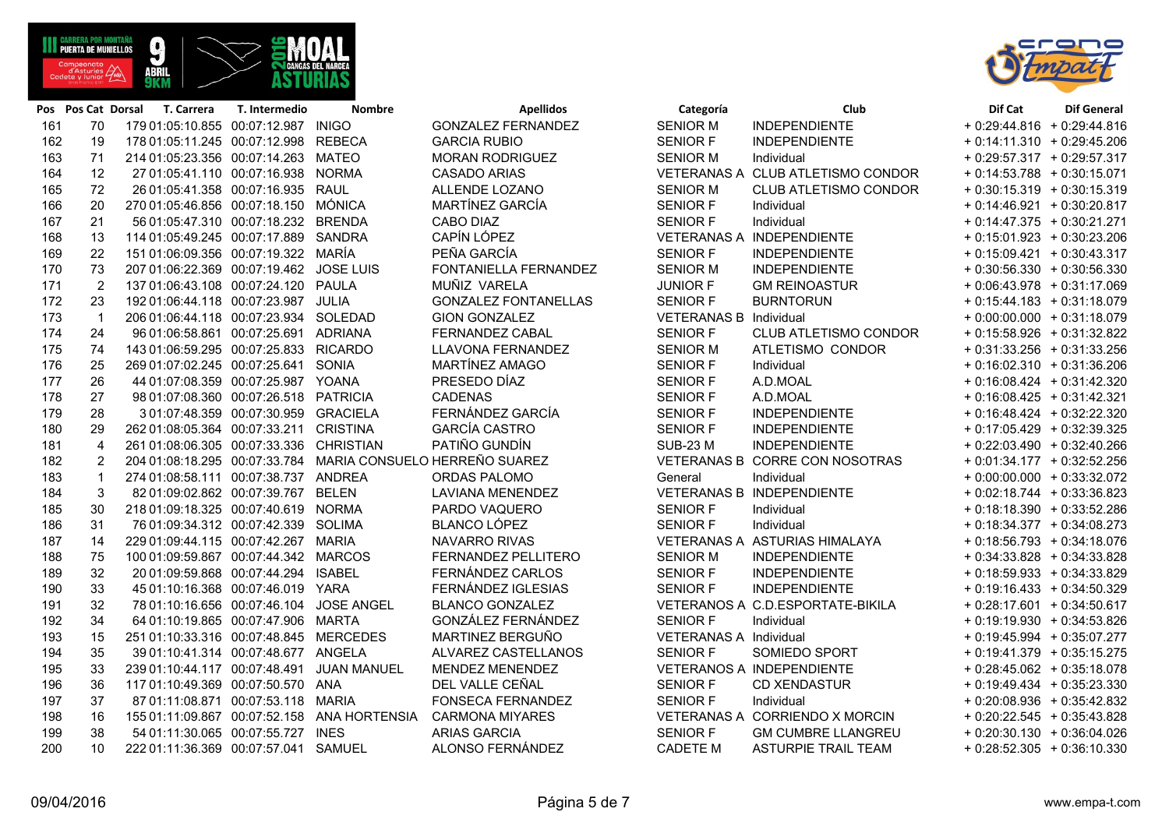**ABRI** 

| 163 | 71             | 214 01:05:23.356 00:07:14.263 MATEO     |                                             | <b>MORAN RODRIGUEZ</b>                                      | <b>SENIOR M</b>               | Individual                        | $+0.29:57.317 + 0.29:57.317$ |  |
|-----|----------------|-----------------------------------------|---------------------------------------------|-------------------------------------------------------------|-------------------------------|-----------------------------------|------------------------------|--|
| 164 | 12             | 27 01:05:41.110 00:07:16.938 NORMA      |                                             | <b>CASADO ARIAS</b>                                         |                               | VETERANAS A CLUB ATLETISMO CONDOR | $+0:14:53.788 + 0:30:15.071$ |  |
| 165 | 72             | 26 01:05:41.358 00:07:16.935 RAUL       |                                             | ALLENDE LOZANO                                              | <b>SENIOR M</b>               | <b>CLUB ATLETISMO CONDOR</b>      | $+0.30:15.319 + 0.30:15.319$ |  |
| 166 | 20             | 270 01:05:46.856 00:07:18.150 MÓNICA    |                                             | MARTÍNEZ GARCÍA                                             | <b>SENIOR F</b>               | Individual                        | $+0:14:46.921 + 0:30:20.817$ |  |
| 167 | 21             | 56 01:05:47.310 00:07:18.232 BRENDA     |                                             | CABO DIAZ                                                   | <b>SENIOR F</b>               | Individual                        | $+0.14:47.375 + 0.30:21.271$ |  |
| 168 | 13             | 114 01:05:49.245 00:07:17.889 SANDRA    |                                             | CAPÍN LÓPEZ                                                 |                               | VETERANAS A INDEPENDIENTE         | $+0.15.01.923 + 0.30.23.206$ |  |
| 169 | 22             | 151 01:06:09.356 00:07:19.322 MARÍA     |                                             | PEÑA GARCÍA                                                 | <b>SENIOR F</b>               | INDEPENDIENTE                     | $+0.15.09.421 + 0.30.43.317$ |  |
| 170 | 73             | 207 01:06:22.369 00:07:19.462 JOSE LUIS |                                             | FONTANIELLA FERNANDEZ                                       | <b>SENIOR M</b>               | <b>INDEPENDIENTE</b>              | $+0.30.56.330 + 0.30.56.330$ |  |
| 171 | 2              | 137 01:06:43.108 00:07:24.120 PAULA     |                                             | MUÑIZ VARELA                                                | <b>JUNIOR F</b>               | <b>GM REINOASTUR</b>              | $+0.06:43.978 + 0.31:17.069$ |  |
| 172 | 23             | 192 01:06:44.118 00:07:23.987 JULIA     |                                             | <b>GONZALEZ FONTANELLAS</b>                                 | <b>SENIOR F</b>               | <b>BURNTORUN</b>                  | $+0.15:44.183 + 0.31:18.079$ |  |
| 173 | $\mathbf{1}$   | 206 01:06:44.118 00:07:23.934 SOLEDAD   |                                             | <b>GION GONZALEZ</b>                                        | <b>VETERANAS B Individual</b> |                                   | $+0.00.00.000 + 0.31.18.079$ |  |
| 174 | 24             | 96 01:06:58.861 00:07:25.691 ADRIANA    |                                             | FERNANDEZ CABAL                                             | <b>SENIOR F</b>               | CLUB ATLETISMO CONDOR             | + 0:15:58.926 + 0:31:32.822  |  |
| 175 | 74             | 143 01:06:59.295 00:07:25.833 RICARDO   |                                             | LLAVONA FERNANDEZ                                           | <b>SENIOR M</b>               | ATLETISMO CONDOR                  | $+0.31:33.256 + 0.31:33.256$ |  |
| 176 | 25             | 269 01:07:02.245 00:07:25.641 SONIA     |                                             | MARTÍNEZ AMAGO                                              | <b>SENIOR F</b>               | Individual                        | $+0.16.02.310 + 0.31.36.206$ |  |
| 177 | 26             | 44 01:07:08.359 00:07:25.987 YOANA      |                                             | PRESEDO DÍAZ                                                | <b>SENIOR F</b>               | A.D.MOAL                          | $+0.16.08.424 + 0.31.42.320$ |  |
| 178 | 27             | 98 01:07:08.360 00:07:26.518 PATRICIA   |                                             | <b>CADENAS</b>                                              | <b>SENIOR F</b>               | A.D.MOAL                          | $+0.16.08.425 + 0.31.42.321$ |  |
| 179 | 28             | 3 01:07:48.359 00:07:30.959 GRACIELA    |                                             | FERNÁNDEZ GARCÍA                                            | <b>SENIOR F</b>               | <b>INDEPENDIENTE</b>              | $+0.16.48.424 + 0.32.22.320$ |  |
| 180 | 29             | 262 01:08:05.364 00:07:33.211 CRISTINA  |                                             | <b>GARCÍA CASTRO</b>                                        | <b>SENIOR F</b>               | <b>INDEPENDIENTE</b>              | $+0.17:05.429 + 0.32:39.325$ |  |
| 181 | $\overline{4}$ | 261 01:08:06.305 00:07:33.336 CHRISTIAN |                                             | PATIÑO GUNDÍN                                               | <b>SUB-23 M</b>               | <b>INDEPENDIENTE</b>              | $+0.22:03.490 + 0.32:40.266$ |  |
| 182 | $\overline{2}$ |                                         |                                             | 204 01:08:18.295 00:07:33.784 MARIA CONSUELO HERREÑO SUAREZ |                               | VETERANAS B CORRE CON NOSOTRAS    | $+0.01:34.177 + 0.32:52.256$ |  |
| 183 | $\mathbf{1}$   | 274 01:08:58.111 00:07:38.737 ANDREA    |                                             | <b>ORDAS PALOMO</b>                                         | General                       | Individual                        | $+0.00.00000 + 0.33.32.072$  |  |
| 184 | 3              | 82 01:09:02.862 00:07:39.767 BELEN      |                                             | <b>LAVIANA MENENDEZ</b>                                     |                               | <b>VETERANAS B INDEPENDIENTE</b>  | $+0.02:18.744 + 0.33:36.823$ |  |
| 185 | 30             | 218 01:09:18.325 00:07:40.619 NORMA     |                                             | PARDO VAQUERO                                               | <b>SENIOR F</b>               | Individual                        | $+0.18.18.390 + 0.33.52.286$ |  |
| 186 | 31             | 76 01:09:34.312 00:07:42.339 SOLIMA     |                                             | BLANCO LÓPEZ                                                | <b>SENIOR F</b>               | Individual                        | $+0:18:34.377 + 0:34:08.273$ |  |
| 187 | 14             | 229 01:09:44.115 00:07:42.267 MARIA     |                                             | NAVARRO RIVAS                                               |                               | VETERANAS A ASTURIAS HIMALAYA     | $+0.18.56.793 + 0.34.18.076$ |  |
| 188 | 75             | 100 01:09:59.867 00:07:44.342 MARCOS    |                                             | FERNANDEZ PELLITERO                                         | <b>SENIOR M</b>               | <b>INDEPENDIENTE</b>              | $+0.34.33.828 + 0.34.33.828$ |  |
| 189 | 32             | 20 01:09:59.868 00:07:44.294            | <b>ISABEL</b>                               | FERNÁNDEZ CARLOS                                            | SENIOR F                      | <b>INDEPENDIENTE</b>              | $+0.18.59.933 + 0.34.33.829$ |  |
| 190 | 33             | 45 01:10:16.368 00:07:46.019 YARA       |                                             | FERNÁNDEZ IGLESIAS                                          | <b>SENIOR F</b>               | <b>INDEPENDIENTE</b>              | $+0.19:16.433 + 0.34:50.329$ |  |
| 191 | 32             | 78 01:10:16.656 00:07:46.104 JOSE ANGEL |                                             | <b>BLANCO GONZALEZ</b>                                      |                               | VETERANOS A C.D.ESPORTATE-BIKILA  | $+0.28:17.601 + 0.34:50.617$ |  |
| 192 | 34             | 64 01:10:19.865 00:07:47.906 MARTA      |                                             | GONZÁLEZ FERNÁNDEZ                                          | <b>SENIOR F</b>               | Individual                        | $+0.19.19.930 + 0.34.53.826$ |  |
| 193 | 15             | 251 01:10:33.316 00:07:48.845 MERCEDES  |                                             | MARTINEZ BERGUÑO                                            | VETERANAS A Individual        |                                   | + 0:19:45.994 + 0:35:07.277  |  |
| 194 | 35             | 39 01:10:41.314 00:07:48.677 ANGELA     |                                             | ALVAREZ CASTELLANOS                                         | <b>SENIOR F</b>               | SOMIEDO SPORT                     | $+0.19:41.379 + 0.35:15.275$ |  |
| 195 | 33             | 239 01:10:44.117 00:07:48.491           | <b>JUAN MANUEL</b>                          | MENDEZ MENENDEZ                                             |                               | VETERANOS A INDEPENDIENTE         | $+0.28:45.062 + 0.35:18.078$ |  |
| 196 | 36             | 117 01:10:49.369 00:07:50.570 ANA       |                                             | DEL VALLE CEÑAL                                             | <b>SENIOR F</b>               | <b>CD XENDASTUR</b>               | $+0.19.49.434 + 0.35.23.330$ |  |
| 197 | 37             | 87 01:11:08.871 00:07:53.118 MARIA      |                                             | <b>FONSECA FERNANDEZ</b>                                    | <b>SENIOR F</b>               | Individual                        | $+0.20.08.936 + 0.35.42.832$ |  |
| 198 | 16             |                                         | 155 01:11:09.867 00:07:52.158 ANA HORTENSIA | <b>CARMONA MIYARES</b>                                      |                               | VETERANAS A CORRIENDO X MORCIN    | $+0.20.22.545 + 0.35.43.828$ |  |
| 199 | 38             | 54 01:11:30.065 00:07:55.727 INES       |                                             | <b>ARIAS GARCIA</b>                                         | <b>SENIOR F</b>               | <b>GM CUMBRE LLANGREU</b>         | $+0.20.30.130 + 0.36.04.026$ |  |
| 200 | 10             | 222 01:11:36.369 00:07:57.041 SAMUEL    |                                             | ALONSO FERNÁNDEZ                                            | <b>CADETE M</b>               | <b>ASTURPIE TRAIL TEAM</b>        | $+0.28:52.305 + 0.36:10.330$ |  |





| + 0:29:44.816  | $+0.29:44.816$                   |
|----------------|----------------------------------|
| $+0:14:11.310$ | 0:29:45.206<br>$\ddot{}$         |
| $+0.29:57.317$ | $+0.29:57.317$                   |
| $+0:14:53.788$ | $+0:30:15.071$                   |
| + 0:30:15.319  | + 0:30:15.319                    |
| + 0:14:46.921  | + 0:30:20.817                    |
| $+0:14:47.375$ | + 0:30:21.271                    |
| $+0.15:01.923$ | + 0:30:23.206                    |
| $+0.15:09.421$ | $+0:30:43.317$                   |
| $+0:30:56.330$ | $+0:30:56.330$                   |
| + 0:06:43.978  | + 0:31:17.069                    |
| $+0:15:44.183$ | $+0:31:18.079$                   |
| $+0:00:00.000$ | + 0:31:18.079                    |
| + 0:15:58.926  | + 0:31:32.822                    |
| + 0:31:33.256  | + 0:31:33.256                    |
| $+0:16:02.310$ | $+0:31:36.206$                   |
| $+0:16:08.424$ | $+0:31:42.320$                   |
| + 0:16:08.425  | + 0:31:42.321                    |
| $+0:16:48.424$ | + 0:32:22.320                    |
| + 0:17:05.429  | + 0:32:39.325                    |
| + 0:22:03.490  | + 0:32:40.266                    |
| $+0:01:34.177$ | + 0:32:52.256                    |
| $+0:00:00.000$ | + 0:33:32.072                    |
| $+0:02:18.744$ | + 0:33:36.823                    |
| $+0:18:18.390$ | + 0:33:52.286                    |
| $+0:18:34.377$ | $+0:34:08.273$                   |
| $+0:18:56.793$ | $+0:34:18.076$                   |
| + 0:34:33.828  | $+0:34:33.828$                   |
| + 0:18:59.933  | + 0:34:33.829                    |
| $+0.19:16.433$ | $+0:34:50.329$                   |
| $+0.28:17.601$ | $+0:34:50.617$                   |
| + 0:19:19.930  | $+0:34:53.826$                   |
| + 0:19:45.994  | + 0:35:07.277                    |
| + 0:19:41.379  | 0:35:15.275<br>$+$               |
| + 0:28:45.062  | $+0:35:18.078$                   |
| $+0.19:49.434$ | $+0:35:23.330$                   |
| + 0:20:08.936  | $+0:35:42.832$<br>$+0:35:43.828$ |
| + 0:20:22.545  | $+0:36:04.026$                   |
| $+0:20:30.130$ | 0:36:10.330                      |
| + 0:28:52.305  | $+$                              |

**Pos Pos Cat Dorsal T. Carrera T. Intermedio Nombre Apellidos Categoría Club Dif Cat Dif General**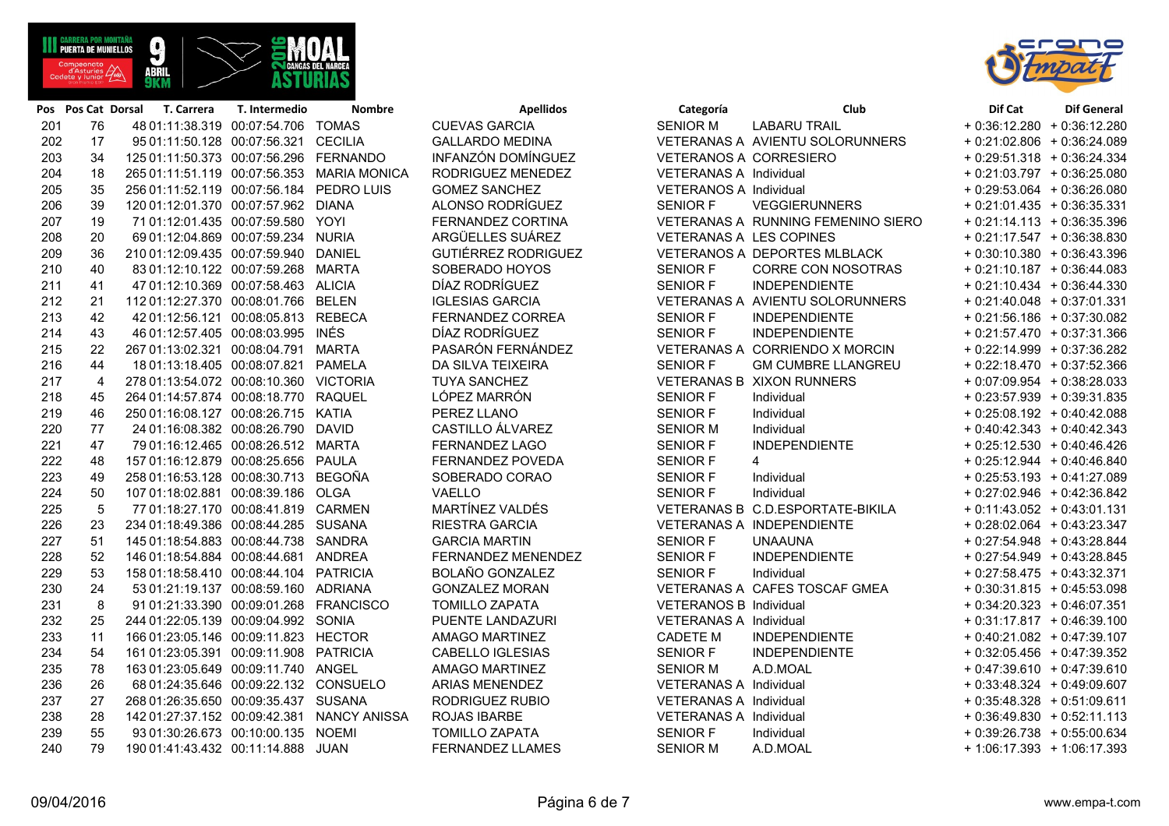| Página 6 de 7 |  |  |
|---------------|--|--|

| 34<br>18<br>35<br>39<br>19 | 125 01:11:50.373 00:07:56.296 FERNANDO<br>265 01:11:51.119 00:07:56.353 MARIA MONICA<br>256 01:11:52.119 00:07:56.184 PEDRO LUIS |                                     | INFANZÓN DOMÍNGUEZ<br>RODRIGUEZ MENEDEZ                                                                                                                                                                                                                                                                                                                                                                                                                                                                                                                                                                                                                                                                                                                                                                                                                                                                                                                                                                                                                                                                                                                                                                                                                                                                                | VETERANOS A CORRESIERO  |                                    | $+0.29:51.318 + 0.36:24.334$                                                                                                                                                                                                                                                                                                                                                                                                                                                                                 |
|----------------------------|----------------------------------------------------------------------------------------------------------------------------------|-------------------------------------|------------------------------------------------------------------------------------------------------------------------------------------------------------------------------------------------------------------------------------------------------------------------------------------------------------------------------------------------------------------------------------------------------------------------------------------------------------------------------------------------------------------------------------------------------------------------------------------------------------------------------------------------------------------------------------------------------------------------------------------------------------------------------------------------------------------------------------------------------------------------------------------------------------------------------------------------------------------------------------------------------------------------------------------------------------------------------------------------------------------------------------------------------------------------------------------------------------------------------------------------------------------------------------------------------------------------|-------------------------|------------------------------------|--------------------------------------------------------------------------------------------------------------------------------------------------------------------------------------------------------------------------------------------------------------------------------------------------------------------------------------------------------------------------------------------------------------------------------------------------------------------------------------------------------------|
|                            |                                                                                                                                  |                                     |                                                                                                                                                                                                                                                                                                                                                                                                                                                                                                                                                                                                                                                                                                                                                                                                                                                                                                                                                                                                                                                                                                                                                                                                                                                                                                                        |                         |                                    |                                                                                                                                                                                                                                                                                                                                                                                                                                                                                                              |
|                            |                                                                                                                                  |                                     |                                                                                                                                                                                                                                                                                                                                                                                                                                                                                                                                                                                                                                                                                                                                                                                                                                                                                                                                                                                                                                                                                                                                                                                                                                                                                                                        | VETERANAS A Individual  |                                    | $+0:21:03.797 + 0:36:25.080$                                                                                                                                                                                                                                                                                                                                                                                                                                                                                 |
|                            |                                                                                                                                  |                                     | <b>GOMEZ SANCHEZ</b>                                                                                                                                                                                                                                                                                                                                                                                                                                                                                                                                                                                                                                                                                                                                                                                                                                                                                                                                                                                                                                                                                                                                                                                                                                                                                                   | VETERANOS A Individual  |                                    | $+0.29:53.064 + 0.36:26.080$                                                                                                                                                                                                                                                                                                                                                                                                                                                                                 |
|                            |                                                                                                                                  | 120 01:12:01.370 00:07:57.962 DIANA | ALONSO RODRÍGUEZ                                                                                                                                                                                                                                                                                                                                                                                                                                                                                                                                                                                                                                                                                                                                                                                                                                                                                                                                                                                                                                                                                                                                                                                                                                                                                                       | <b>SENIOR F</b>         | <b>VEGGIERUNNERS</b>               | $+0:21:01.435 + 0:36:35.331$                                                                                                                                                                                                                                                                                                                                                                                                                                                                                 |
|                            | 71 01:12:01.435 00:07:59.580 YOYI                                                                                                |                                     | FERNANDEZ CORTINA                                                                                                                                                                                                                                                                                                                                                                                                                                                                                                                                                                                                                                                                                                                                                                                                                                                                                                                                                                                                                                                                                                                                                                                                                                                                                                      |                         | VETERANAS A RUNNING FEMENINO SIERO | $+0.21:14.113 + 0.36:35.396$                                                                                                                                                                                                                                                                                                                                                                                                                                                                                 |
| 20                         | 69 01:12:04.869 00:07:59.234 NURIA                                                                                               |                                     | ARGÜELLES SUÁREZ                                                                                                                                                                                                                                                                                                                                                                                                                                                                                                                                                                                                                                                                                                                                                                                                                                                                                                                                                                                                                                                                                                                                                                                                                                                                                                       | VETERANAS A LES COPINES |                                    | $+0.21:17.547 + 0.36:38.830$                                                                                                                                                                                                                                                                                                                                                                                                                                                                                 |
| 36                         |                                                                                                                                  |                                     | <b>GUTIÉRREZ RODRIGUEZ</b>                                                                                                                                                                                                                                                                                                                                                                                                                                                                                                                                                                                                                                                                                                                                                                                                                                                                                                                                                                                                                                                                                                                                                                                                                                                                                             |                         |                                    | $+0.30:10.380 + 0.36:43.396$                                                                                                                                                                                                                                                                                                                                                                                                                                                                                 |
| 40                         |                                                                                                                                  |                                     | SOBERADO HOYOS                                                                                                                                                                                                                                                                                                                                                                                                                                                                                                                                                                                                                                                                                                                                                                                                                                                                                                                                                                                                                                                                                                                                                                                                                                                                                                         | <b>SENIOR F</b>         | <b>CORRE CON NOSOTRAS</b>          | $+0:21:10.187 + 0:36:44.083$                                                                                                                                                                                                                                                                                                                                                                                                                                                                                 |
| 41                         |                                                                                                                                  |                                     | DÍAZ RODRÍGUEZ                                                                                                                                                                                                                                                                                                                                                                                                                                                                                                                                                                                                                                                                                                                                                                                                                                                                                                                                                                                                                                                                                                                                                                                                                                                                                                         | <b>SENIOR F</b>         |                                    | $+0:21:10.434 + 0:36:44.330$                                                                                                                                                                                                                                                                                                                                                                                                                                                                                 |
| 21                         |                                                                                                                                  |                                     | <b>IGLESIAS GARCIA</b>                                                                                                                                                                                                                                                                                                                                                                                                                                                                                                                                                                                                                                                                                                                                                                                                                                                                                                                                                                                                                                                                                                                                                                                                                                                                                                 |                         |                                    | $+0.21:40.048 + 0.37:01.331$                                                                                                                                                                                                                                                                                                                                                                                                                                                                                 |
| 42                         |                                                                                                                                  |                                     | FERNANDEZ CORREA                                                                                                                                                                                                                                                                                                                                                                                                                                                                                                                                                                                                                                                                                                                                                                                                                                                                                                                                                                                                                                                                                                                                                                                                                                                                                                       | <b>SENIOR F</b>         | <b>INDEPENDIENTE</b>               | $+0.21:56.186 + 0.37:30.082$                                                                                                                                                                                                                                                                                                                                                                                                                                                                                 |
| 43                         |                                                                                                                                  |                                     | DÍAZ RODRÍGUEZ                                                                                                                                                                                                                                                                                                                                                                                                                                                                                                                                                                                                                                                                                                                                                                                                                                                                                                                                                                                                                                                                                                                                                                                                                                                                                                         | <b>SENIOR F</b>         | <b>INDEPENDIENTE</b>               | + 0:21:57.470 + 0:37:31.366                                                                                                                                                                                                                                                                                                                                                                                                                                                                                  |
| 22                         |                                                                                                                                  |                                     | PASARÓN FERNÁNDEZ                                                                                                                                                                                                                                                                                                                                                                                                                                                                                                                                                                                                                                                                                                                                                                                                                                                                                                                                                                                                                                                                                                                                                                                                                                                                                                      |                         |                                    | $+0.22:14.999 + 0.37:36.282$                                                                                                                                                                                                                                                                                                                                                                                                                                                                                 |
| 44                         |                                                                                                                                  |                                     | DA SILVA TEIXEIRA                                                                                                                                                                                                                                                                                                                                                                                                                                                                                                                                                                                                                                                                                                                                                                                                                                                                                                                                                                                                                                                                                                                                                                                                                                                                                                      | <b>SENIOR F</b>         | <b>GM CUMBRE LLANGREU</b>          | $+0.22:18.470 + 0.37:52.366$                                                                                                                                                                                                                                                                                                                                                                                                                                                                                 |
| $\overline{4}$             |                                                                                                                                  |                                     | <b>TUYA SANCHEZ</b>                                                                                                                                                                                                                                                                                                                                                                                                                                                                                                                                                                                                                                                                                                                                                                                                                                                                                                                                                                                                                                                                                                                                                                                                                                                                                                    |                         |                                    | $+0.07:09.954 + 0.38:28.033$                                                                                                                                                                                                                                                                                                                                                                                                                                                                                 |
| 45                         |                                                                                                                                  |                                     | LÓPEZ MARRÓN                                                                                                                                                                                                                                                                                                                                                                                                                                                                                                                                                                                                                                                                                                                                                                                                                                                                                                                                                                                                                                                                                                                                                                                                                                                                                                           | <b>SENIOR F</b>         | Individual                         | $+0.23.57.939 + 0.39.31.835$                                                                                                                                                                                                                                                                                                                                                                                                                                                                                 |
| 46                         |                                                                                                                                  |                                     | PEREZ LLANO                                                                                                                                                                                                                                                                                                                                                                                                                                                                                                                                                                                                                                                                                                                                                                                                                                                                                                                                                                                                                                                                                                                                                                                                                                                                                                            | <b>SENIOR F</b>         | Individual                         | + 0:25:08.192 + 0:40:42.088                                                                                                                                                                                                                                                                                                                                                                                                                                                                                  |
| 77                         |                                                                                                                                  |                                     | CASTILLO ÁLVAREZ                                                                                                                                                                                                                                                                                                                                                                                                                                                                                                                                                                                                                                                                                                                                                                                                                                                                                                                                                                                                                                                                                                                                                                                                                                                                                                       | <b>SENIOR M</b>         | Individual                         | $+0.40:42.343 + 0.40:42.343$                                                                                                                                                                                                                                                                                                                                                                                                                                                                                 |
| 47                         |                                                                                                                                  |                                     | <b>FERNANDEZ LAGO</b>                                                                                                                                                                                                                                                                                                                                                                                                                                                                                                                                                                                                                                                                                                                                                                                                                                                                                                                                                                                                                                                                                                                                                                                                                                                                                                  | <b>SENIOR F</b>         | <b>INDEPENDIENTE</b>               | $+0.25:12.530 + 0.40:46.426$                                                                                                                                                                                                                                                                                                                                                                                                                                                                                 |
| 48                         |                                                                                                                                  |                                     | FERNANDEZ POVEDA                                                                                                                                                                                                                                                                                                                                                                                                                                                                                                                                                                                                                                                                                                                                                                                                                                                                                                                                                                                                                                                                                                                                                                                                                                                                                                       | <b>SENIOR F</b>         | $\overline{4}$                     | $+0.25:12.944 + 0.40:46.840$                                                                                                                                                                                                                                                                                                                                                                                                                                                                                 |
| 49                         |                                                                                                                                  |                                     | SOBERADO CORAO                                                                                                                                                                                                                                                                                                                                                                                                                                                                                                                                                                                                                                                                                                                                                                                                                                                                                                                                                                                                                                                                                                                                                                                                                                                                                                         | <b>SENIOR F</b>         |                                    | $+0:25:53.193 + 0:41:27.089$                                                                                                                                                                                                                                                                                                                                                                                                                                                                                 |
| 50                         |                                                                                                                                  |                                     | VAELLO                                                                                                                                                                                                                                                                                                                                                                                                                                                                                                                                                                                                                                                                                                                                                                                                                                                                                                                                                                                                                                                                                                                                                                                                                                                                                                                 | <b>SENIOR F</b>         | Individual                         | + 0:27:02.946 + 0:42:36.842                                                                                                                                                                                                                                                                                                                                                                                                                                                                                  |
| 5                          |                                                                                                                                  |                                     | MARTÍNEZ VALDÉS                                                                                                                                                                                                                                                                                                                                                                                                                                                                                                                                                                                                                                                                                                                                                                                                                                                                                                                                                                                                                                                                                                                                                                                                                                                                                                        |                         |                                    | $+0.11:43.052 + 0.43:01.131$                                                                                                                                                                                                                                                                                                                                                                                                                                                                                 |
| 23                         |                                                                                                                                  |                                     | <b>RIESTRA GARCIA</b>                                                                                                                                                                                                                                                                                                                                                                                                                                                                                                                                                                                                                                                                                                                                                                                                                                                                                                                                                                                                                                                                                                                                                                                                                                                                                                  |                         |                                    | $+0.28.02.064 + 0.43.23.347$                                                                                                                                                                                                                                                                                                                                                                                                                                                                                 |
| 51                         |                                                                                                                                  |                                     | <b>GARCIA MARTIN</b>                                                                                                                                                                                                                                                                                                                                                                                                                                                                                                                                                                                                                                                                                                                                                                                                                                                                                                                                                                                                                                                                                                                                                                                                                                                                                                   | <b>SENIOR F</b>         | <b>UNAAUNA</b>                     | $+0.27:54.948 + 0.43:28.844$                                                                                                                                                                                                                                                                                                                                                                                                                                                                                 |
| 52                         |                                                                                                                                  |                                     | FERNANDEZ MENENDEZ                                                                                                                                                                                                                                                                                                                                                                                                                                                                                                                                                                                                                                                                                                                                                                                                                                                                                                                                                                                                                                                                                                                                                                                                                                                                                                     | <b>SENIOR F</b>         |                                    | + 0:27:54.949 + 0:43:28.845                                                                                                                                                                                                                                                                                                                                                                                                                                                                                  |
| 53                         |                                                                                                                                  |                                     | <b>BOLAÑO GONZALEZ</b>                                                                                                                                                                                                                                                                                                                                                                                                                                                                                                                                                                                                                                                                                                                                                                                                                                                                                                                                                                                                                                                                                                                                                                                                                                                                                                 | <b>SENIOR F</b>         |                                    | $+0.27:58.475 + 0.43:32.371$                                                                                                                                                                                                                                                                                                                                                                                                                                                                                 |
| 24                         |                                                                                                                                  |                                     | <b>GONZALEZ MORAN</b>                                                                                                                                                                                                                                                                                                                                                                                                                                                                                                                                                                                                                                                                                                                                                                                                                                                                                                                                                                                                                                                                                                                                                                                                                                                                                                  |                         |                                    | $+0.30:31.815 + 0.45:53.098$                                                                                                                                                                                                                                                                                                                                                                                                                                                                                 |
| 8                          |                                                                                                                                  |                                     | <b>TOMILLO ZAPATA</b>                                                                                                                                                                                                                                                                                                                                                                                                                                                                                                                                                                                                                                                                                                                                                                                                                                                                                                                                                                                                                                                                                                                                                                                                                                                                                                  |                         |                                    | $+0.34:20.323 + 0.46:07.351$                                                                                                                                                                                                                                                                                                                                                                                                                                                                                 |
| 25                         |                                                                                                                                  |                                     | PUENTE LANDAZURI                                                                                                                                                                                                                                                                                                                                                                                                                                                                                                                                                                                                                                                                                                                                                                                                                                                                                                                                                                                                                                                                                                                                                                                                                                                                                                       |                         |                                    | $+0.31:17.817 + 0.46:39.100$                                                                                                                                                                                                                                                                                                                                                                                                                                                                                 |
| 11                         |                                                                                                                                  |                                     | AMAGO MARTINEZ                                                                                                                                                                                                                                                                                                                                                                                                                                                                                                                                                                                                                                                                                                                                                                                                                                                                                                                                                                                                                                                                                                                                                                                                                                                                                                         | <b>CADETE M</b>         |                                    | $+0.40:21.082 + 0.47:39.107$                                                                                                                                                                                                                                                                                                                                                                                                                                                                                 |
| 54                         |                                                                                                                                  |                                     | CABELLO IGLESIAS                                                                                                                                                                                                                                                                                                                                                                                                                                                                                                                                                                                                                                                                                                                                                                                                                                                                                                                                                                                                                                                                                                                                                                                                                                                                                                       | <b>SENIOR F</b>         |                                    | $+0.32:05.456 + 0.47:39.352$                                                                                                                                                                                                                                                                                                                                                                                                                                                                                 |
| 78                         |                                                                                                                                  |                                     | AMAGO MARTINEZ                                                                                                                                                                                                                                                                                                                                                                                                                                                                                                                                                                                                                                                                                                                                                                                                                                                                                                                                                                                                                                                                                                                                                                                                                                                                                                         | <b>SENIOR M</b>         | A.D.MOAL                           | $+0.47:39.610 + 0.47:39.610$                                                                                                                                                                                                                                                                                                                                                                                                                                                                                 |
| 26                         |                                                                                                                                  |                                     | <b>ARIAS MENENDEZ</b>                                                                                                                                                                                                                                                                                                                                                                                                                                                                                                                                                                                                                                                                                                                                                                                                                                                                                                                                                                                                                                                                                                                                                                                                                                                                                                  |                         |                                    | $+0.33:48.324 + 0.49:09.607$                                                                                                                                                                                                                                                                                                                                                                                                                                                                                 |
| 27                         |                                                                                                                                  |                                     | RODRIGUEZ RUBIO                                                                                                                                                                                                                                                                                                                                                                                                                                                                                                                                                                                                                                                                                                                                                                                                                                                                                                                                                                                                                                                                                                                                                                                                                                                                                                        |                         |                                    | $+0.35:48.328 + 0.51:09.611$                                                                                                                                                                                                                                                                                                                                                                                                                                                                                 |
| 28                         |                                                                                                                                  |                                     | <b>ROJAS IBARBE</b>                                                                                                                                                                                                                                                                                                                                                                                                                                                                                                                                                                                                                                                                                                                                                                                                                                                                                                                                                                                                                                                                                                                                                                                                                                                                                                    |                         |                                    | $+0.36:49.830 + 0.52:11.113$                                                                                                                                                                                                                                                                                                                                                                                                                                                                                 |
| 55                         |                                                                                                                                  |                                     | <b>TOMILLO ZAPATA</b>                                                                                                                                                                                                                                                                                                                                                                                                                                                                                                                                                                                                                                                                                                                                                                                                                                                                                                                                                                                                                                                                                                                                                                                                                                                                                                  | SENIOR F                |                                    | $+0.39:26.738 + 0.55:00.634$                                                                                                                                                                                                                                                                                                                                                                                                                                                                                 |
| 79                         |                                                                                                                                  |                                     | <b>FERNANDEZ LLAMES</b>                                                                                                                                                                                                                                                                                                                                                                                                                                                                                                                                                                                                                                                                                                                                                                                                                                                                                                                                                                                                                                                                                                                                                                                                                                                                                                | <b>SENIOR M</b>         | A.D.MOAL                           | $+1:06:17.393 + 1:06:17.393$                                                                                                                                                                                                                                                                                                                                                                                                                                                                                 |
|                            |                                                                                                                                  |                                     | 210 01:12:09.435 00:07:59.940 DANIEL<br>83 01:12:10.122 00:07:59.268 MARTA<br>47 01:12:10.369 00:07:58.463 ALICIA<br>112 01:12:27.370 00:08:01.766 BELEN<br>42 01:12:56.121 00:08:05.813 REBECA<br>46 01:12:57.405 00:08:03.995 INÉS<br>267 01:13:02.321 00:08:04.791 MARTA<br>18 01:13:18.405  00:08:07.821  PAMELA<br>278 01:13:54.072 00:08:10.360 VICTORIA<br>264 01:14:57.874 00:08:18.770 RAQUEL<br>250 01:16:08.127 00:08:26.715 KATIA<br>24 01:16:08.382 00:08:26.790 DAVID<br>79 01:16:12.465 00:08:26.512 MARTA<br>157 01:16:12.879 00:08:25.656 PAULA<br>258 01:16:53.128 00:08:30.713 BEGOÑA<br>107 01:18:02.881 00:08:39.186 OLGA<br>77 01:18:27.170 00:08:41.819 CARMEN<br>234 01:18:49.386 00:08:44.285 SUSANA<br>145 01:18:54.883 00:08:44.738 SANDRA<br>146 01:18:54.884 00:08:44.681 ANDREA<br>158 01:18:58.410 00:08:44.104 PATRICIA<br>53 01:21:19.137 00:08:59.160 ADRIANA<br>91 01:21:33.390 00:09:01.268 FRANCISCO<br>244 01:22:05.139 00:09:04.992 SONIA<br>166 01:23:05.146  00:09:11.823  HECTOR<br>161 01:23:05.391 00:09:11.908 PATRICIA<br>163 01:23:05.649 00:09:11.740 ANGEL<br>68 01:24:35.646 00:09:22.132 CONSUELO<br>268 01:26:35.650 00:09:35.437 SUSANA<br>142 01:27:37.152 00:09:42.381 NANCY ANISSA<br>93 01:30:26.673 00:10:00.135 NOEMI<br>190 01:41:43.432 00:11:14.888 JUAN |                         |                                    | VETERANOS A DEPORTES MLBLACK<br><b>INDEPENDIENTE</b><br>VETERANAS A AVIENTU SOLORUNNERS<br>VETERANAS A CORRIENDO X MORCIN<br>VETERANAS B XIXON RUNNERS<br>Individual<br>VETERANAS B C.D.ESPORTATE-BIKILA<br>VETERANAS A INDEPENDIENTE<br><b>INDEPENDIENTE</b><br>Individual<br>VETERANAS A CAFES TOSCAF GMEA<br><b>VETERANOS B Individual</b><br>VETERANAS A Individual<br>INDEPENDIENTE<br>INDEPENDIENTE<br><b>VETERANAS A Individual</b><br>VETERANAS A Individual<br>VETERANAS A Individual<br>Individual |

**Pos Pos Cat Dorsal T. Carrera T. Intermedio Nombre Apellidos Categoría Club Dif Cat Dif General** 201 76 48 01:11:38.319 00:07:54.706 TOMAS CUEVAS GARCIA SENIOR M LABARU TRAIL + 0:36:12.280 + 0:36:12.280